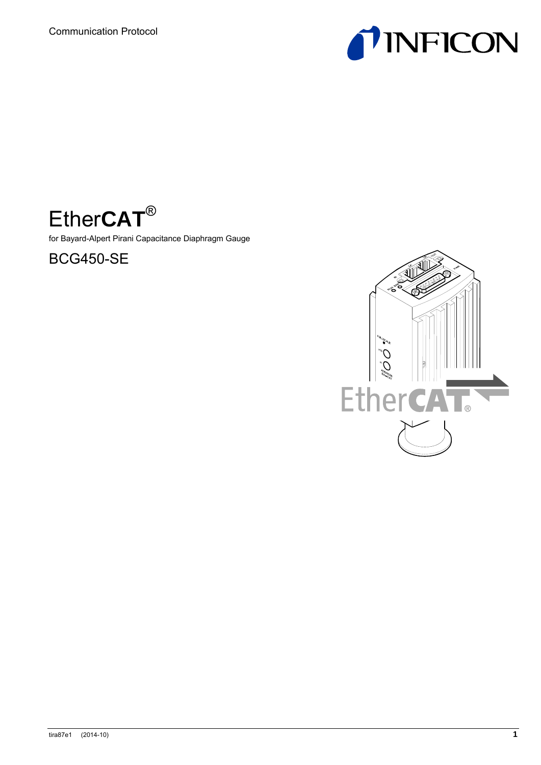



for Bayard-Alpert Pirani Capacitance Diaphragm Gauge



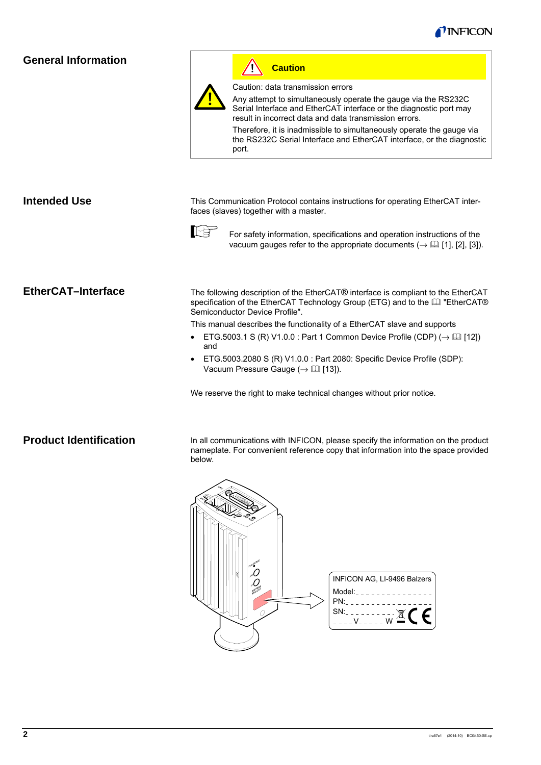

### **General Information**



Ą **Caution**

Caution: data transmission errors

Any attempt to simultaneously operate the gauge via the RS232C Serial Interface and EtherCAT interface or the diagnostic port may result in incorrect data and data transmission errors.

Therefore, it is inadmissible to simultaneously operate the gauge via the RS232C Serial Interface and EtherCAT interface, or the diagnostic port.

| <b>Intended Use</b>       | This Communication Protocol contains instructions for operating EtherCAT inter-<br>faces (slaves) together with a master.                                                                            |  |  |
|---------------------------|------------------------------------------------------------------------------------------------------------------------------------------------------------------------------------------------------|--|--|
|                           | For safety information, specifications and operation instructions of the<br>vacuum gauges refer to the appropriate documents ( $\rightarrow$ [1], [2], [3]).                                         |  |  |
| <b>EtherCAT-Interface</b> | The following description of the EtherCAT® interface is compliant to the EtherCAT<br>specification of the EtherCAT Technology Group (ETG) and to the La "EtherCAT®<br>Semiconductor Device Profile". |  |  |
|                           | This manual describes the functionality of a EtherCAT slave and supports                                                                                                                             |  |  |
|                           | ETG.5003.1 S (R) V1.0.0 : Part 1 Common Device Profile (CDP) ( $\rightarrow \Box$ [12])<br>and                                                                                                       |  |  |
|                           | ETG.5003.2080 S (R) V1.0.0 : Part 2080: Specific Device Profile (SDP):<br>Vacuum Pressure Gauge ( $\rightarrow$ [13]).                                                                               |  |  |
|                           | We reserve the right to make technical changes without prior notice.                                                                                                                                 |  |  |

### **Product Identification**

In all communications with INFICON, please specify the information on the product nameplate. For convenient reference copy that information into the space provided below.

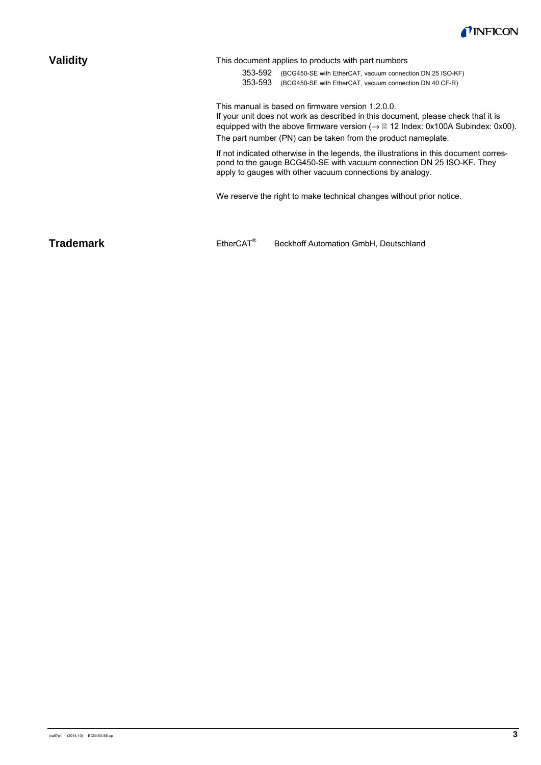

| <b>Validity</b>  | This document applies to products with part numbers<br>353-592<br>(BCG450-SE with EtherCAT, vacuum connection DN 25 ISO-KF)<br>353-593<br>(BCG450-SE with EtherCAT, vacuum connection DN 40 CF-R)                                                                                                                |
|------------------|------------------------------------------------------------------------------------------------------------------------------------------------------------------------------------------------------------------------------------------------------------------------------------------------------------------|
|                  | This manual is based on firmware version 1.2.0.0.<br>If your unit does not work as described in this document, please check that it is<br>equipped with the above firmware version ( $\rightarrow \mathbb{B}$ 12 Index: 0x100A Subindex: 0x00).<br>The part number (PN) can be taken from the product nameplate. |
|                  | If not indicated otherwise in the legends, the illustrations in this document corres-<br>pond to the gauge BCG450-SE with vacuum connection DN 25 ISO-KF. They<br>apply to gauges with other vacuum connections by analogy.                                                                                      |
|                  | We reserve the right to make technical changes without prior notice.                                                                                                                                                                                                                                             |
| <b>Trademark</b> | $EtherCAT^{\otimes}$<br>Beckhoff Automation GmbH, Deutschland                                                                                                                                                                                                                                                    |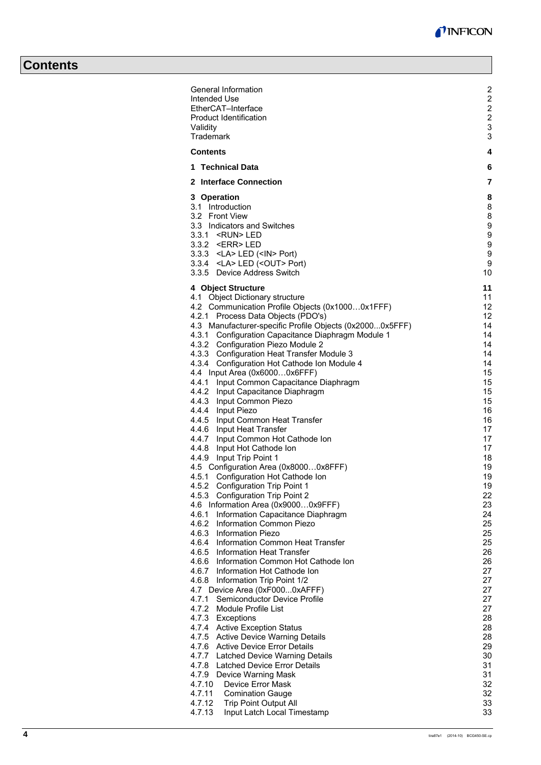J.

# **Contents**

| General Information                                                                      | $\overline{\mathbf{c}}$                   |
|------------------------------------------------------------------------------------------|-------------------------------------------|
| Intended Use<br>EtherCAT-Interface                                                       | $\overline{\mathbf{c}}$<br>$\overline{c}$ |
| <b>Product Identification</b>                                                            | $\overline{\mathbf{c}}$                   |
| Validity<br>Trademark                                                                    | 3<br>3                                    |
| <b>Contents</b>                                                                          | 4                                         |
| 1 Technical Data                                                                         | 6                                         |
| 2 Interface Connection                                                                   | 7                                         |
| 3 Operation                                                                              | 8                                         |
| 3.1 Introduction<br>3.2 Front View                                                       | 8                                         |
| 3.3 Indicators and Switches                                                              | 8<br>9                                    |
| 3.3.1 <run>LED</run>                                                                     | 9                                         |
| 3.3.2 <err>LED</err>                                                                     | 9                                         |
| 3.3.3 <la> LED (<in> Port)</in></la>                                                     | 9<br>9                                    |
| 3.3.4 <la> LED (<out> Port)<br/>3.3.5 Device Address Switch</out></la>                   | 10                                        |
|                                                                                          |                                           |
| 4 Object Structure<br>4.1 Object Dictionary structure                                    | 11<br>11                                  |
| 4.2 Communication Profile Objects (0x10000x1FFF)                                         | 12                                        |
| 4.2.1 Process Data Objects (PDO's)                                                       | 12                                        |
| 4.3 Manufacturer-specific Profile Objects (0x20000x5FFF)                                 | 14                                        |
| 4.3.1 Configuration Capacitance Diaphragm Module 1<br>4.3.2 Configuration Piezo Module 2 | 14<br>14                                  |
| 4.3.3 Configuration Heat Transfer Module 3                                               | 14                                        |
| 4.3.4 Configuration Hot Cathode Ion Module 4                                             | 14                                        |
| 4.4 Input Area (0x60000x6FFF)                                                            | 15                                        |
| 4.4.1 Input Common Capacitance Diaphragm                                                 | 15                                        |
| 4.4.2 Input Capacitance Diaphragm<br>4.4.3 Input Common Piezo                            | 15<br>15                                  |
| 4.4.4 Input Piezo                                                                        | 16                                        |
| 4.4.5 Input Common Heat Transfer                                                         | 16                                        |
| 4.4.6 Input Heat Transfer                                                                | 17                                        |
| 4.4.7 Input Common Hot Cathode Ion<br>4.4.8 Input Hot Cathode Ion                        | 17<br>17                                  |
| 4.4.9 Input Trip Point 1                                                                 | 18                                        |
| 4.5 Configuration Area (0x80000x8FFF)                                                    | 19                                        |
| 4.5.1<br>Configuration Hot Cathode Ion                                                   | 19                                        |
| 4.5.2 Configuration Trip Point 1                                                         | 19                                        |
| 4.5.3 Configuration Trip Point 2<br>4.6 Information Area (0x90000x9FFF)                  | 22<br>23                                  |
| 4.6.1<br>Information Capacitance Diaphragm                                               | 24                                        |
| 4.6.2 Information Common Piezo                                                           | 25                                        |
| <b>Information Piezo</b><br>4.6.3                                                        | 25                                        |
| Information Common Heat Transfer<br>4.6.4<br>4.6.5 Information Heat Transfer             | 25<br>26                                  |
| 4.6.6 Information Common Hot Cathode Ion                                                 | 26                                        |
| 4.6.7 Information Hot Cathode Ion                                                        | 27                                        |
| 4.6.8 Information Trip Point 1/2                                                         | 27                                        |
| 4.7 Device Area (0xF0000xAFFF)                                                           | 27                                        |
| 4.7.1<br>Semiconductor Device Profile<br>4.7.2 Module Profile List                       | 27<br>27                                  |
| 4.7.3 Exceptions                                                                         | 28                                        |
| 4.7.4 Active Exception Status                                                            | 28                                        |
| 4.7.5 Active Device Warning Details                                                      | 28                                        |
| 4.7.6 Active Device Error Details                                                        | 29<br>30                                  |
| 4.7.7 Latched Device Warning Details<br>4.7.8 Latched Device Error Details               | 31                                        |
| 4.7.9 Device Warning Mask                                                                | 31                                        |
| 4.7.10<br>Device Error Mask                                                              | 32                                        |
| 4.7.11<br><b>Comination Gauge</b>                                                        | 32                                        |
| 4.7.12<br><b>Trip Point Output All</b>                                                   | 33                                        |
| 4.7.13<br>Input Latch Local Timestamp                                                    | 33                                        |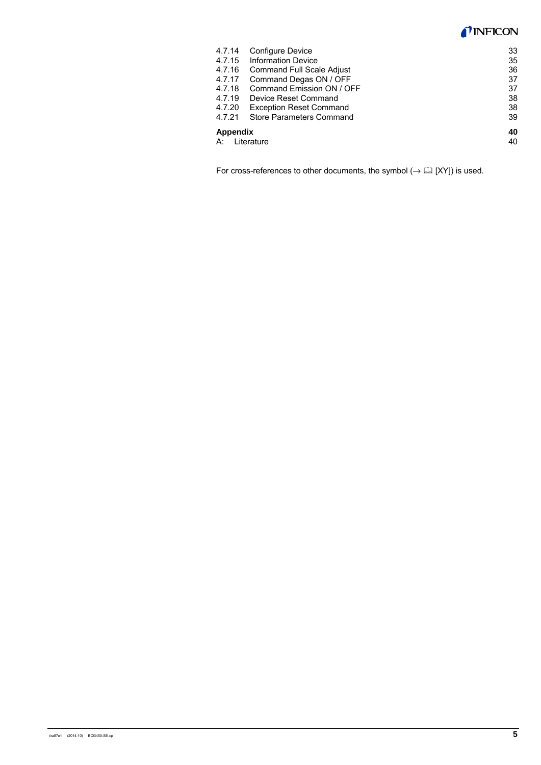### **INFICON**

| 4.7.14        | <b>Configure Device</b>          | 33 |
|---------------|----------------------------------|----|
| 4.7.15        | <b>Information Device</b>        | 35 |
| 4.7.16        | <b>Command Full Scale Adjust</b> | 36 |
| 4.7.17        | Command Degas ON / OFF           | 37 |
| 4.7.18        | Command Emission ON / OFF        | 37 |
| 4.7.19        | Device Reset Command             | 38 |
| 4.7.20        | <b>Exception Reset Command</b>   | 38 |
| 4.7.21        | Store Parameters Command         | 39 |
| Appendix      |                                  | 40 |
| A: Literature |                                  |    |

For cross-references to other documents, the symbol  $(\rightarrow \Box\Box$  [XY]) is used.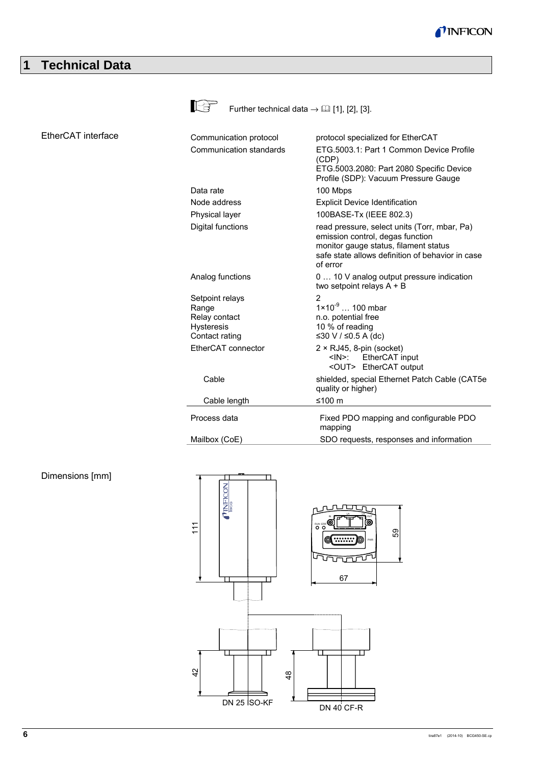

# **1 Technical Data**

|                    | ∎⊦∕₿                                                                             | Further technical data $\rightarrow$ [1], [2], [3].                                                                                                                                       |
|--------------------|----------------------------------------------------------------------------------|-------------------------------------------------------------------------------------------------------------------------------------------------------------------------------------------|
| EtherCAT interface | Communication protocol                                                           | protocol specialized for EtherCAT                                                                                                                                                         |
|                    | Communication standards                                                          | ETG.5003.1: Part 1 Common Device Profile<br>(CDP)<br>ETG.5003.2080: Part 2080 Specific Device<br>Profile (SDP): Vacuum Pressure Gauge                                                     |
|                    | Data rate                                                                        | 100 Mbps                                                                                                                                                                                  |
|                    | Node address                                                                     | <b>Explicit Device Identification</b>                                                                                                                                                     |
|                    | Physical layer                                                                   | 100BASE-Tx (IEEE 802.3)                                                                                                                                                                   |
|                    | Digital functions                                                                | read pressure, select units (Torr, mbar, Pa)<br>emission control, degas function<br>monitor gauge status, filament status<br>safe state allows definition of behavior in case<br>of error |
|                    | Analog functions                                                                 | 0  10 V analog output pressure indication<br>two setpoint relays $A + B$                                                                                                                  |
|                    | Setpoint relays<br>Range<br>Relay contact<br><b>Hysteresis</b><br>Contact rating | 2<br>$1 \times 10^{-9}$ 100 mbar<br>n.o. potential free<br>10 % of reading<br>≤30 V / ≤0.5 A (dc)                                                                                         |
|                    | EtherCAT connector                                                               | $2 \times RJ45$ , 8-pin (socket)<br>EtherCAT input<br><in>:<br/><out> EtherCAT output</out></in>                                                                                          |
|                    | Cable                                                                            | shielded, special Ethernet Patch Cable (CAT5e<br>quality or higher)                                                                                                                       |
|                    | Cable length                                                                     | ≤100 $m$                                                                                                                                                                                  |
|                    | Process data                                                                     | Fixed PDO mapping and configurable PDO<br>mapping                                                                                                                                         |
|                    | Mailbox (CoE)                                                                    | SDO requests, responses and information                                                                                                                                                   |

### Dimensions [mm]

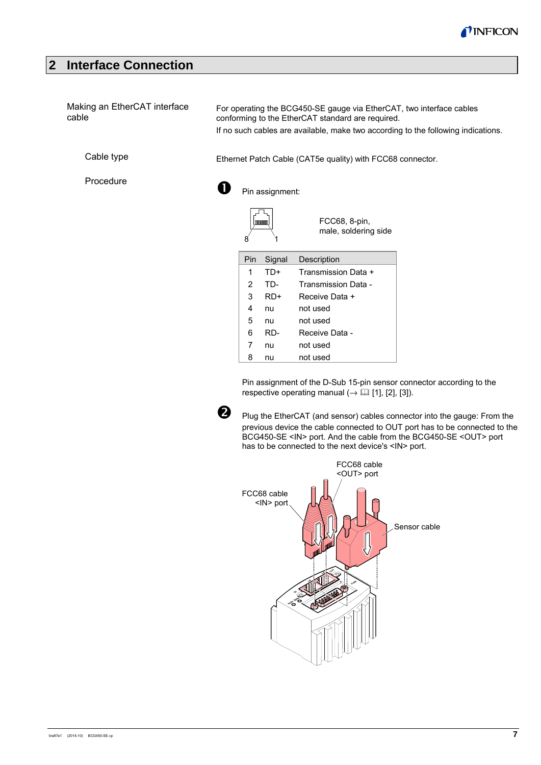

## **2 Interface Connection**

| Making an EtherCAT interface<br>cable |     |                 | For operating the BCG450-SE gauge via EtherCAT, two interface cables<br>conforming to the EtherCAT standard are required. | If no such cables are available, make two according to the following indications. |
|---------------------------------------|-----|-----------------|---------------------------------------------------------------------------------------------------------------------------|-----------------------------------------------------------------------------------|
| Cable type                            |     |                 | Ethernet Patch Cable (CAT5e quality) with FCC68 connector.                                                                |                                                                                   |
| Procedure                             |     | Pin assignment: |                                                                                                                           |                                                                                   |
|                                       | 8   | Lannona         | FCC68, 8-pin,<br>male, soldering side                                                                                     |                                                                                   |
|                                       | Pin | Signal          | Description                                                                                                               |                                                                                   |
|                                       | 1   | TD+             | Transmission Data +                                                                                                       |                                                                                   |
|                                       | 2   | TD-             | Transmission Data -                                                                                                       |                                                                                   |
|                                       | 3   | RD+             | Receive Data +                                                                                                            |                                                                                   |
|                                       | 4   | nu              | not used                                                                                                                  |                                                                                   |
|                                       | 5   | nu              | not used                                                                                                                  |                                                                                   |
|                                       | 6   | RD-             | Receive Data -                                                                                                            |                                                                                   |
|                                       | 7   | nu              | not used                                                                                                                  |                                                                                   |
|                                       | 8   | nu              | not used                                                                                                                  |                                                                                   |

Pin assignment of the D-Sub 15-pin sensor connector according to the respective operating manual  $(\rightarrow \Box$  [1], [2], [3]).



 Plug the EtherCAT (and sensor) cables connector into the gauge: From the previous device the cable connected to OUT port has to be connected to the BCG450-SE <IN> port. And the cable from the BCG450-SE <OUT> port has to be connected to the next device's <IN> port.

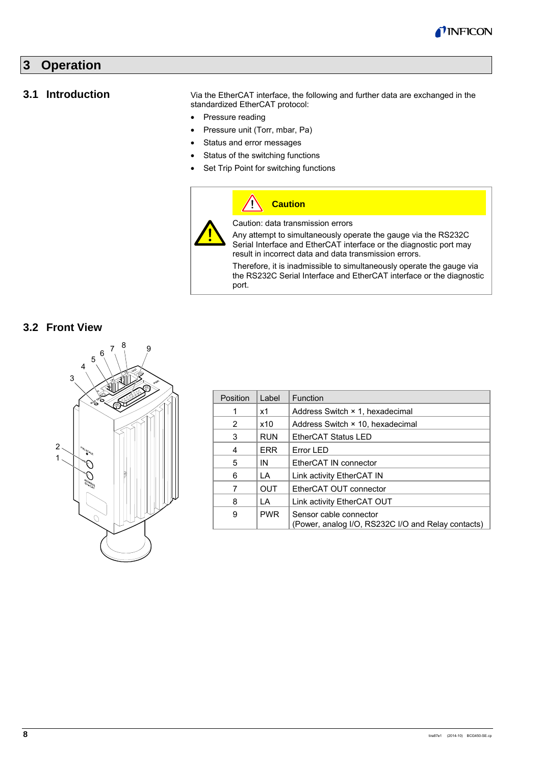

# **3 Operation**

### **3.1 Introduction**

Via the EtherCAT interface, the following and further data are exchanged in the standardized EtherCAT protocol:

- Pressure reading
- Pressure unit (Torr, mbar, Pa)
- Status and error messages
- Status of the switching functions
- Set Trip Point for switching functions

### **Caution**  $\sqrt{2}$ Caution: data transmission errors Any attempt to simultaneously operate the gauge via the RS232C Serial Interface and EtherCAT interface or the diagnostic port may result in incorrect data and data transmission errors. Therefore, it is inadmissible to simultaneously operate the gauge via

the RS232C Serial Interface and EtherCAT interface or the diagnostic port.

#### **3.2 Front View**



| Position | Label      | Function                                                                     |
|----------|------------|------------------------------------------------------------------------------|
|          | x1         | Address Switch × 1, hexadecimal                                              |
| 2        | x10        | Address Switch × 10, hexadecimal                                             |
| 3        | <b>RUN</b> | EtherCAT Status LED                                                          |
| 4        | <b>ERR</b> | Error LED                                                                    |
| 5        | IN         | EtherCAT IN connector                                                        |
| 6        | LA         | Link activity EtherCAT IN                                                    |
| 7        | OUT        | EtherCAT OUT connector                                                       |
| 8        | I A        | Link activity EtherCAT OUT                                                   |
| 9        | <b>PWR</b> | Sensor cable connector<br>(Power, analog I/O, RS232C I/O and Relay contacts) |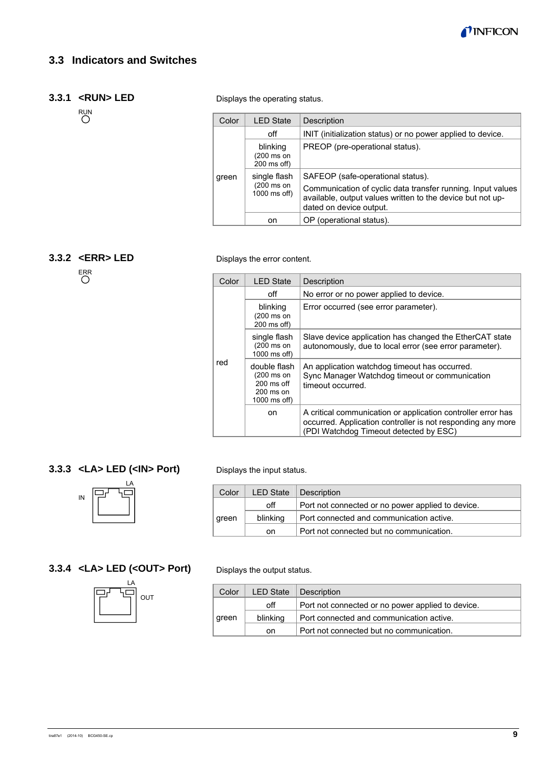

## **3.3 Indicators and Switches**

### **3.3.1 <RUN> LED**

RUN<br>O

Displays the operating status.

| Color | <b>LED State</b>                           | Description                                                                                                                                                                               |
|-------|--------------------------------------------|-------------------------------------------------------------------------------------------------------------------------------------------------------------------------------------------|
|       | off                                        | INIT (initialization status) or no power applied to device.                                                                                                                               |
| green | blinking<br>(200 ms on<br>200 ms off)      | PREOP (pre-operational status).                                                                                                                                                           |
|       | single flash<br>(200 ms on<br>1000 ms off) | SAFEOP (safe-operational status).<br>Communication of cyclic data transfer running. Input values<br>available, output values written to the device but not up-<br>dated on device output. |
|       | on                                         | OP (operational status).                                                                                                                                                                  |

### **3.3.2 <ERR> LED**

ERR

#### Displays the error content.

| Color | <b>LED State</b>                                                                          | Description                                                                                                                                                           |
|-------|-------------------------------------------------------------------------------------------|-----------------------------------------------------------------------------------------------------------------------------------------------------------------------|
| red   | off                                                                                       | No error or no power applied to device.                                                                                                                               |
|       | blinking<br>$(200 \text{ ms on})$<br>200 ms off)                                          | Error occurred (see error parameter).                                                                                                                                 |
|       | single flash<br>$(200 \text{ ms on})$<br>1000 ms off)                                     | Slave device application has changed the EtherCAT state<br>autonomously, due to local error (see error parameter).                                                    |
|       | double flash<br>$(200 \text{ ms on})$<br>$200 \text{ ms of}$<br>200 ms on<br>1000 ms off) | An application watchdog timeout has occurred.<br>Sync Manager Watchdog timeout or communication<br>timeout occurred.                                                  |
|       | on.                                                                                       | A critical communication or application controller error has<br>occurred. Application controller is not responding any more<br>(PDI Watchdog Timeout detected by ESC) |

### **3.3.3 <LA> LED (<IN> Port)**



### **3.3.4 <LA> LED (<OUT> Port)**



Displays the input status.

| Color | <b>LED State</b> | Description                                       |
|-------|------------------|---------------------------------------------------|
| green | off              | Port not connected or no power applied to device. |
|       | blinking         | Port connected and communication active.          |
|       | on.              | Port not connected but no communication.          |

Displays the output status.

| Color | <b>LED State</b> | Description                                       |
|-------|------------------|---------------------------------------------------|
|       | off              | Port not connected or no power applied to device. |
| green | blinking         | Port connected and communication active.          |
|       | on               | Port not connected but no communication.          |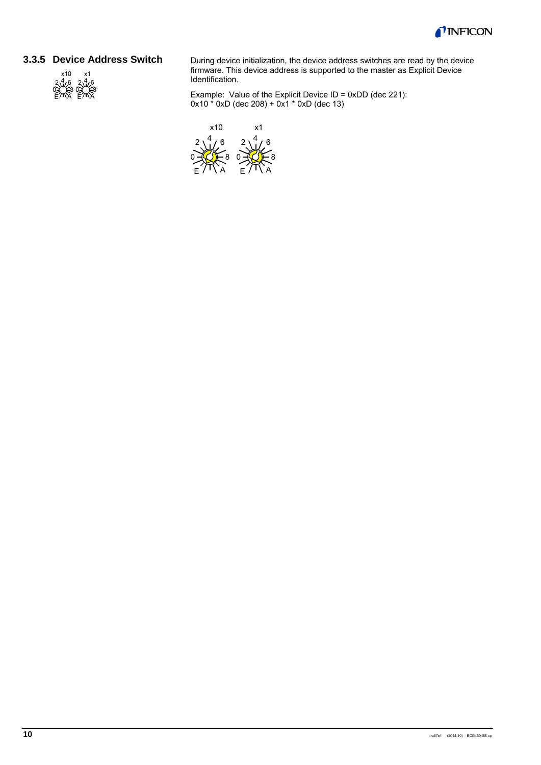

#### **3.3.5 Device Address Switch**



During device initialization, the device address switches are read by the device firmware. This device address is supported to the master as Explicit Device Identification.

Example: Value of the Explicit Device ID = 0xDD (dec 221): 0x10 \* 0xD (dec 208) + 0x1 \* 0xD (dec 13)

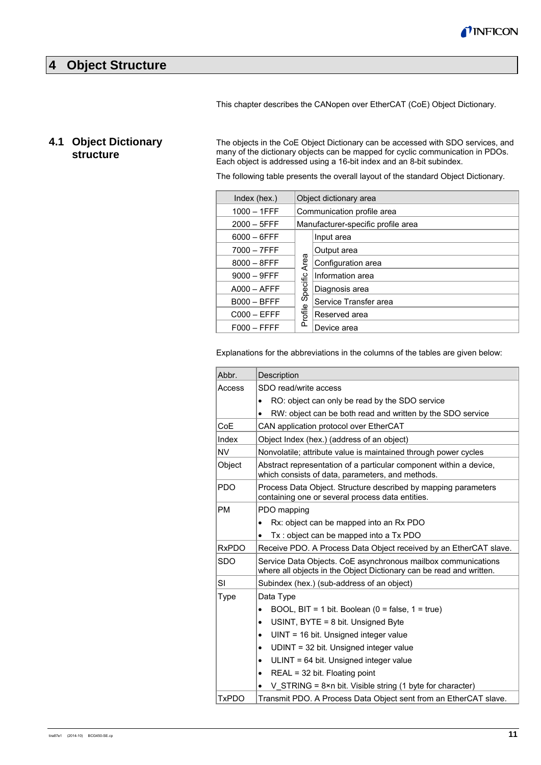### **4 Object Structure**

This chapter describes the CANopen over EtherCAT (CoE) Object Dictionary.

## **4.1 Object Dictionary structure**

The objects in the CoE Object Dictionary can be accessed with SDO services, and many of the dictionary objects can be mapped for cyclic communication in PDOs. Each object is addressed using a 16-bit index and an 8-bit subindex.

The following table presents the overall layout of the standard Object Dictionary.

| Index (hex.)   | Object dictionary area |                                    |  |
|----------------|------------------------|------------------------------------|--|
| $1000 - 1$ FFF |                        | Communication profile area         |  |
| $2000 - 5$ FFF |                        | Manufacturer-specific profile area |  |
| $6000 - 6$ FFF |                        | Input area                         |  |
| $7000 - 7$ FFF |                        | Output area                        |  |
| $8000 - 8$ FFF | Area                   | Configuration area                 |  |
| $9000 - 9$ FFF |                        | Information area                   |  |
| $A000 - AFFF$  | Specific               | Diagnosis area                     |  |
| $B000 - BFFF$  |                        | Service Transfer area              |  |
| $C000 - EFFF$  | rofile                 | Reserved area                      |  |
| $F000 - FFFF$  | ൨                      | Device area                        |  |

Explanations for the abbreviations in the columns of the tables are given below:

| Abbr.        | Description                                                                                                                          |  |  |  |  |  |  |  |
|--------------|--------------------------------------------------------------------------------------------------------------------------------------|--|--|--|--|--|--|--|
| Access       | SDO read/write access                                                                                                                |  |  |  |  |  |  |  |
|              | RO: object can only be read by the SDO service                                                                                       |  |  |  |  |  |  |  |
|              | RW: object can be both read and written by the SDO service                                                                           |  |  |  |  |  |  |  |
| CoE          | CAN application protocol over EtherCAT                                                                                               |  |  |  |  |  |  |  |
| Index        | Object Index (hex.) (address of an object)                                                                                           |  |  |  |  |  |  |  |
| <b>NV</b>    | Nonvolatile; attribute value is maintained through power cycles                                                                      |  |  |  |  |  |  |  |
| Object       | Abstract representation of a particular component within a device,<br>which consists of data, parameters, and methods.               |  |  |  |  |  |  |  |
| <b>PDO</b>   | Process Data Object. Structure described by mapping parameters<br>containing one or several process data entities.                   |  |  |  |  |  |  |  |
| <b>PM</b>    | PDO mapping                                                                                                                          |  |  |  |  |  |  |  |
|              | Rx: object can be mapped into an Rx PDO<br>$\bullet$                                                                                 |  |  |  |  |  |  |  |
|              | Tx: object can be mapped into a Tx PDO                                                                                               |  |  |  |  |  |  |  |
| <b>RxPDO</b> | Receive PDO. A Process Data Object received by an EtherCAT slave.                                                                    |  |  |  |  |  |  |  |
| <b>SDO</b>   | Service Data Objects. CoE asynchronous mailbox communications<br>where all objects in the Object Dictionary can be read and written. |  |  |  |  |  |  |  |
| SI           | Subindex (hex.) (sub-address of an object)                                                                                           |  |  |  |  |  |  |  |
| Type         | Data Type                                                                                                                            |  |  |  |  |  |  |  |
|              | BOOL, BIT = 1 bit. Boolean $(0 = false, 1 = true)$<br>$\bullet$                                                                      |  |  |  |  |  |  |  |
|              | USINT, BYTE = 8 bit. Unsigned Byte<br>$\bullet$                                                                                      |  |  |  |  |  |  |  |
|              | $UINT = 16$ bit. Unsigned integer value<br>$\bullet$                                                                                 |  |  |  |  |  |  |  |
|              | UDINT = 32 bit. Unsigned integer value<br>$\bullet$                                                                                  |  |  |  |  |  |  |  |
|              | ULINT = 64 bit. Unsigned integer value<br>$\bullet$                                                                                  |  |  |  |  |  |  |  |
|              | REAL = 32 bit. Floating point<br>٠                                                                                                   |  |  |  |  |  |  |  |
|              | V STRING = $8 \times n$ bit. Visible string (1 byte for character)                                                                   |  |  |  |  |  |  |  |
| <b>TxPDO</b> | Transmit PDO. A Process Data Object sent from an EtherCAT slave.                                                                     |  |  |  |  |  |  |  |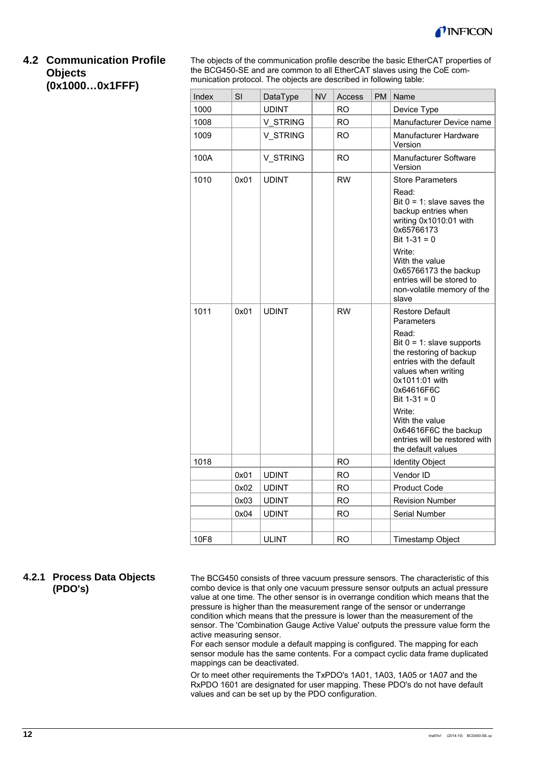

### **4.2 Communication Profile Objects (0x1000…0x1FFF)**

The objects of the communication profile describe the basic EtherCAT properties of the BCG450-SE and are common to all EtherCAT slaves using the CoE communication protocol. The objects are described in following table:

| Index | SI   | DataType     | <b>NV</b> | Access    | <b>PM</b> | Name                                                                                                                                                                                                                                                                                                                      |  |  |
|-------|------|--------------|-----------|-----------|-----------|---------------------------------------------------------------------------------------------------------------------------------------------------------------------------------------------------------------------------------------------------------------------------------------------------------------------------|--|--|
| 1000  |      | <b>UDINT</b> |           | RO        |           | Device Type                                                                                                                                                                                                                                                                                                               |  |  |
| 1008  |      | V STRING     |           | <b>RO</b> |           | Manufacturer Device name                                                                                                                                                                                                                                                                                                  |  |  |
| 1009  |      | V STRING     |           | <b>RO</b> |           | Manufacturer Hardware<br>Version                                                                                                                                                                                                                                                                                          |  |  |
| 100A  |      | V_STRING     |           | RO        |           | Manufacturer Software<br>Version                                                                                                                                                                                                                                                                                          |  |  |
| 1010  | 0x01 | <b>UDINT</b> |           | <b>RW</b> |           | <b>Store Parameters</b><br>Read:<br>Bit $0 = 1$ : slave saves the<br>backup entries when<br>writing 0x1010:01 with<br>0x65766173<br>Bit $1-31 = 0$<br>Write:<br>With the value<br>0x65766173 the backup<br>entries will be stored to<br>non-volatile memory of the<br>slave                                               |  |  |
| 1011  | 0x01 | <b>UDINT</b> |           | <b>RW</b> |           | <b>Restore Default</b><br>Parameters<br>Read:<br>Bit $0 = 1$ : slave supports<br>the restoring of backup<br>entries with the default<br>values when writing<br>0x1011:01 with<br>0x64616F6C<br>Bit $1-31 = 0$<br>Write:<br>With the value<br>0x64616F6C the backup<br>entries will be restored with<br>the default values |  |  |
| 1018  |      |              |           | <b>RO</b> |           | <b>Identity Object</b>                                                                                                                                                                                                                                                                                                    |  |  |
|       | 0x01 | <b>UDINT</b> |           | <b>RO</b> |           | Vendor ID                                                                                                                                                                                                                                                                                                                 |  |  |
|       | 0x02 | <b>UDINT</b> |           | <b>RO</b> |           | <b>Product Code</b>                                                                                                                                                                                                                                                                                                       |  |  |
|       | 0x03 | <b>UDINT</b> |           | <b>RO</b> |           | <b>Revision Number</b>                                                                                                                                                                                                                                                                                                    |  |  |
|       | 0x04 | <b>UDINT</b> |           | <b>RO</b> |           | Serial Number                                                                                                                                                                                                                                                                                                             |  |  |
| 10F8  |      | <b>ULINT</b> |           | <b>RO</b> |           | Timestamp Object                                                                                                                                                                                                                                                                                                          |  |  |

### **4.2.1 Process Data Objects (PDO's)**

The BCG450 consists of three vacuum pressure sensors. The characteristic of this combo device is that only one vacuum pressure sensor outputs an actual pressure value at one time. The other sensor is in overrange condition which means that the pressure is higher than the measurement range of the sensor or underrange condition which means that the pressure is lower than the measurement of the sensor. The 'Combination Gauge Active Value' outputs the pressure value form the active measuring sensor.

For each sensor module a default mapping is configured. The mapping for each sensor module has the same contents. For a compact cyclic data frame duplicated mappings can be deactivated.

Or to meet other requirements the TxPDO's 1A01, 1A03, 1A05 or 1A07 and the RxPDO 1601 are designated for user mapping. These PDO's do not have default values and can be set up by the PDO configuration.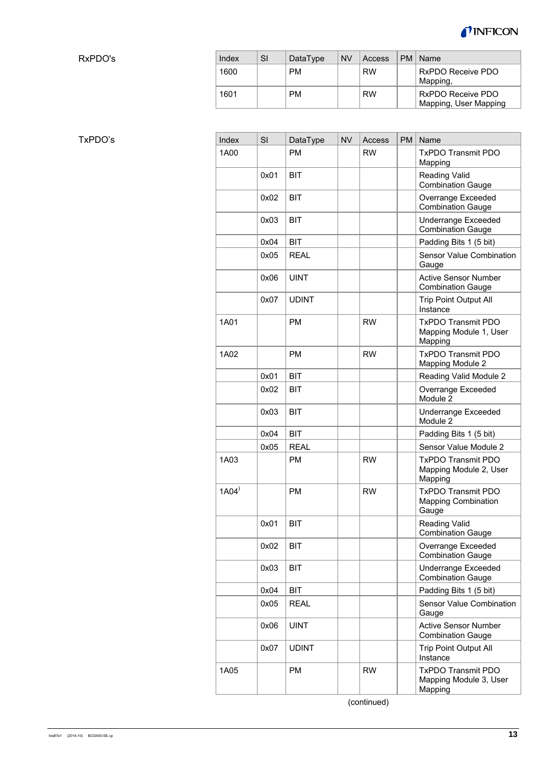

RxPDO's

| Index | SI | DataType  | <b>NV</b> | Access    | PM   Name                                  |
|-------|----|-----------|-----------|-----------|--------------------------------------------|
| 1600  |    | <b>PM</b> |           | <b>RW</b> | RxPDO Receive PDO<br>Mapping,              |
| 1601  |    | <b>PM</b> |           | <b>RW</b> | RxPDO Receive PDO<br>Mapping, User Mapping |

| Index               | SI   | DataType     | <b>NV</b> | Access    | <b>PM</b> | Name                                                             |
|---------------------|------|--------------|-----------|-----------|-----------|------------------------------------------------------------------|
| 1A00                |      | <b>PM</b>    |           | <b>RW</b> |           | <b>TxPDO Transmit PDO</b><br>Mapping                             |
|                     | 0x01 | <b>BIT</b>   |           |           |           | <b>Reading Valid</b><br><b>Combination Gauge</b>                 |
|                     | 0x02 | <b>BIT</b>   |           |           |           | Overrange Exceeded<br><b>Combination Gauge</b>                   |
|                     | 0x03 | <b>BIT</b>   |           |           |           | Underrange Exceeded<br><b>Combination Gauge</b>                  |
|                     | 0x04 | <b>BIT</b>   |           |           |           | Padding Bits 1 (5 bit)                                           |
|                     | 0x05 | <b>REAL</b>  |           |           |           | Sensor Value Combination<br>Gauge                                |
|                     | 0x06 | <b>UINT</b>  |           |           |           | <b>Active Sensor Number</b><br><b>Combination Gauge</b>          |
|                     | 0x07 | <b>UDINT</b> |           |           |           | <b>Trip Point Output All</b><br>Instance                         |
| 1A01                |      | PM           |           | <b>RW</b> |           | <b>TxPDO Transmit PDO</b><br>Mapping Module 1, User<br>Mapping   |
| 1A02                |      | <b>PM</b>    |           | <b>RW</b> |           | <b>TxPDO Transmit PDO</b><br>Mapping Module 2                    |
|                     | 0x01 | <b>BIT</b>   |           |           |           | Reading Valid Module 2                                           |
|                     | 0x02 | <b>BIT</b>   |           |           |           | Overrange Exceeded<br>Module 2                                   |
|                     | 0x03 | <b>BIT</b>   |           |           |           | Underrange Exceeded<br>Module 2                                  |
|                     | 0x04 | <b>BIT</b>   |           |           |           | Padding Bits 1 (5 bit)                                           |
|                     | 0x05 | <b>REAL</b>  |           |           |           | Sensor Value Module 2                                            |
| 1A03                |      | <b>PM</b>    |           | <b>RW</b> |           | <b>TxPDO Transmit PDO</b><br>Mapping Module 2, User<br>Mapping   |
| $1A04$ <sup>)</sup> |      | <b>PM</b>    |           | <b>RW</b> |           | <b>TxPDO Transmit PDO</b><br><b>Mapping Combination</b><br>Gauge |
|                     | 0x01 | <b>BIT</b>   |           |           |           | Reading Valid<br><b>Combination Gauge</b>                        |
|                     | 0x02 | <b>BIT</b>   |           |           |           | Overrange Exceeded<br><b>Combination Gauge</b>                   |
|                     | 0x03 | <b>BIT</b>   |           |           |           | <b>Underrange Exceeded</b><br><b>Combination Gauge</b>           |
|                     | 0x04 | <b>BIT</b>   |           |           |           | Padding Bits 1 (5 bit)                                           |
|                     | 0x05 | <b>REAL</b>  |           |           |           | Sensor Value Combination<br>Gauge                                |
|                     | 0x06 | <b>UINT</b>  |           |           |           | <b>Active Sensor Number</b><br><b>Combination Gauge</b>          |
|                     | 0x07 | <b>UDINT</b> |           |           |           | <b>Trip Point Output All</b><br>Instance                         |
| 1A05                |      | <b>PM</b>    |           | <b>RW</b> |           | <b>TxPDO Transmit PDO</b><br>Mapping Module 3, User<br>Mapping   |

(continued)

TxPDO's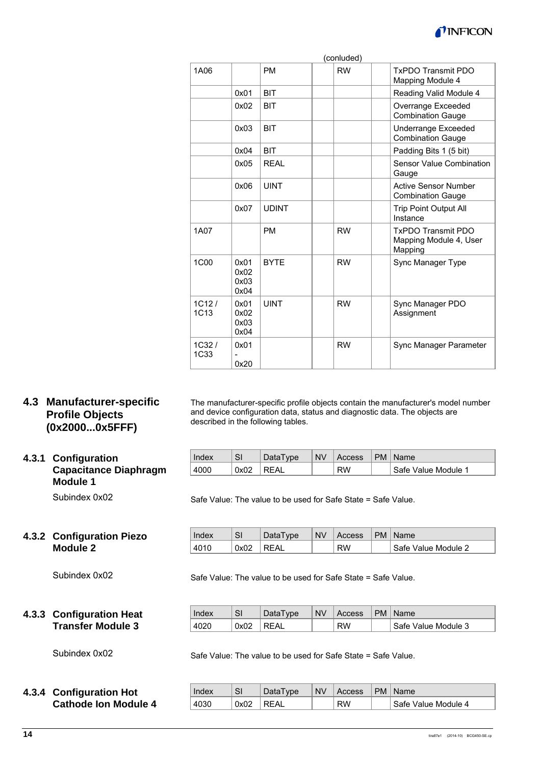

|                      |                              |              | (conluded) |                                                                |
|----------------------|------------------------------|--------------|------------|----------------------------------------------------------------|
| 1A06                 |                              | <b>PM</b>    | <b>RW</b>  | <b>TxPDO Transmit PDO</b><br>Mapping Module 4                  |
|                      | 0x01                         | <b>BIT</b>   |            | Reading Valid Module 4                                         |
|                      | 0x02                         | <b>BIT</b>   |            | Overrange Exceeded<br><b>Combination Gauge</b>                 |
|                      | 0x03                         | <b>BIT</b>   |            | Underrange Exceeded<br><b>Combination Gauge</b>                |
|                      | 0x04                         | <b>BIT</b>   |            | Padding Bits 1 (5 bit)                                         |
|                      | 0x05                         | <b>REAL</b>  |            | Sensor Value Combination<br>Gauge                              |
|                      | 0x06                         | <b>UINT</b>  |            | <b>Active Sensor Number</b><br><b>Combination Gauge</b>        |
|                      | 0x07                         | <b>UDINT</b> |            | <b>Trip Point Output All</b><br>Instance                       |
| 1A07                 |                              | <b>PM</b>    | <b>RW</b>  | <b>TxPDO Transmit PDO</b><br>Mapping Module 4, User<br>Mapping |
| 1C <sub>00</sub>     | 0x01<br>0x02<br>0x03<br>0x04 | <b>BYTF</b>  | <b>RW</b>  | Sync Manager Type                                              |
| 1C12/<br><b>1C13</b> | 0x01<br>0x02<br>0x03<br>0x04 | <b>UINT</b>  | <b>RW</b>  | Sync Manager PDO<br>Assignment                                 |
| $1C32$ /<br>1C33     | 0x01<br>0x20                 |              | <b>RW</b>  | Sync Manager Parameter                                         |

### **4.3 Manufacturer-specific Profile Objects (0x2000...0x5FFF)**

### **4.3.1 Configuration Capacitance Diaphragm Module 1**

Subindex 0x02

### **4.3.2 Configuration Piezo Module 2**

Subindex 0x02

### **4.3.3 Configuration Heat Transfer Module 3**

Subindex 0x02

### **4.3.4 Configuration Hot Cathode Ion Module 4**

| Index | <b>SI</b> | DataType | <b>NV</b> | Access    | PM   Name           |
|-------|-----------|----------|-----------|-----------|---------------------|
| 4000  | 0x02      | ∣REAL    |           | <b>RW</b> | Safe Value Module 1 |

The manufacturer-specific profile objects contain the manufacturer's model number

and device configuration data, status and diagnostic data. The objects are

Safe Value: The value to be used for Safe State = Safe Value.

described in the following tables.

| Index | SI   | <b>DataType</b> | <b>NV</b> | Access    | PM   Name           |
|-------|------|-----------------|-----------|-----------|---------------------|
| 4010  | 0x02 | ' REAL          |           | <b>RW</b> | Safe Value Module 2 |

Safe Value: The value to be used for Safe State = Safe Value.

| Index | SI   | DataType | <b>NV</b> | Access    | PM   Name           |
|-------|------|----------|-----------|-----------|---------------------|
| 4020  | 0x02 | REAL     |           | <b>RW</b> | Safe Value Module 3 |

Safe Value: The value to be used for Safe State = Safe Value.

| Index | <b>SI</b> | DataType | <b>NV</b> | Access | PM | : Name              |
|-------|-----------|----------|-----------|--------|----|---------------------|
| 4030  | 0x02      | REAL     |           | RW     |    | Safe Value Module 4 |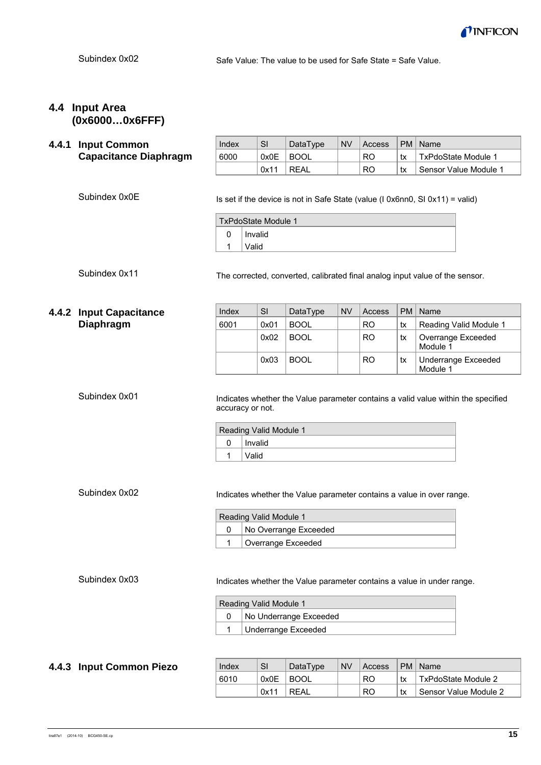

Safe Value: The value to be used for Safe State = Safe Value.

## **4.4 Input Area (0x6000…0x6FFF)**

|                                                                                                 | 4.4.1 Input Common                                                     | Index                                                                                                 | SI      | DataType               | <b>NV</b> | Access    | <b>PM</b> | Name                                                                          |  |  |
|-------------------------------------------------------------------------------------------------|------------------------------------------------------------------------|-------------------------------------------------------------------------------------------------------|---------|------------------------|-----------|-----------|-----------|-------------------------------------------------------------------------------|--|--|
|                                                                                                 | <b>Capacitance Diaphragm</b>                                           | 6000                                                                                                  | 0x0E    | <b>BOOL</b>            |           | <b>RO</b> | tx        | TxPdoState Module 1                                                           |  |  |
|                                                                                                 |                                                                        |                                                                                                       | 0x11    | <b>REAL</b>            |           | <b>RO</b> | tx        | Sensor Value Module 1                                                         |  |  |
|                                                                                                 | Subindex 0x0E                                                          |                                                                                                       |         |                        |           |           |           | Is set if the device is not in Safe State (value (I 0x6nn0, SI 0x11) = valid) |  |  |
|                                                                                                 |                                                                        | TxPdoState Module 1                                                                                   |         |                        |           |           |           |                                                                               |  |  |
|                                                                                                 |                                                                        | 0                                                                                                     | Invalid |                        |           |           |           |                                                                               |  |  |
|                                                                                                 |                                                                        | 1                                                                                                     | Valid   |                        |           |           |           |                                                                               |  |  |
|                                                                                                 | Subindex 0x11                                                          | The corrected, converted, calibrated final analog input value of the sensor.                          |         |                        |           |           |           |                                                                               |  |  |
|                                                                                                 | 4.4.2 Input Capacitance                                                | Index                                                                                                 | SI      | DataType               | <b>NV</b> | Access    | <b>PM</b> | Name                                                                          |  |  |
|                                                                                                 | <b>Diaphragm</b>                                                       | 6001                                                                                                  | 0x01    | <b>BOOL</b>            |           | <b>RO</b> | tx        | Reading Valid Module 1                                                        |  |  |
|                                                                                                 |                                                                        |                                                                                                       | 0x02    | <b>BOOL</b>            |           | <b>RO</b> | tx        | Overrange Exceeded<br>Module 1                                                |  |  |
|                                                                                                 |                                                                        |                                                                                                       | 0x03    | <b>BOOL</b>            |           | <b>RO</b> | tx        | <b>Underrange Exceeded</b><br>Module 1                                        |  |  |
|                                                                                                 | Subindex 0x01                                                          | Indicates whether the Value parameter contains a valid value within the specified<br>accuracy or not. |         |                        |           |           |           |                                                                               |  |  |
|                                                                                                 |                                                                        | Reading Valid Module 1<br>0                                                                           | Invalid |                        |           |           |           |                                                                               |  |  |
|                                                                                                 |                                                                        | 1                                                                                                     |         |                        |           |           |           |                                                                               |  |  |
| Valid<br>Subindex 0x02<br>Indicates whether the Value parameter contains a value in over range. |                                                                        |                                                                                                       |         |                        |           |           |           |                                                                               |  |  |
|                                                                                                 |                                                                        | Reading Valid Module 1                                                                                |         |                        |           |           |           |                                                                               |  |  |
|                                                                                                 |                                                                        | No Overrange Exceeded<br>0                                                                            |         |                        |           |           |           |                                                                               |  |  |
|                                                                                                 |                                                                        |                                                                                                       |         | Overrange Exceeded     |           |           |           |                                                                               |  |  |
|                                                                                                 | Indicates whether the Value parameter contains a value in under range. |                                                                                                       |         |                        |           |           |           |                                                                               |  |  |
|                                                                                                 |                                                                        | Reading Valid Module 1                                                                                |         |                        |           |           |           |                                                                               |  |  |
|                                                                                                 |                                                                        | 0                                                                                                     |         | No Underrange Exceeded |           |           |           |                                                                               |  |  |
|                                                                                                 |                                                                        | 1                                                                                                     |         | Underrange Exceeded    |           |           |           |                                                                               |  |  |

### **4.4.3 Input Common Piezo**

| Index | SI   | DataType | <b>NV</b> | Access |    | PM   Name             |
|-------|------|----------|-----------|--------|----|-----------------------|
| 6010  | 0x0E | I BOOL   |           | RO     | tx | TxPdoState Module 2   |
|       | 0x11 | RFAI     |           | RO     | tx | Sensor Value Module 2 |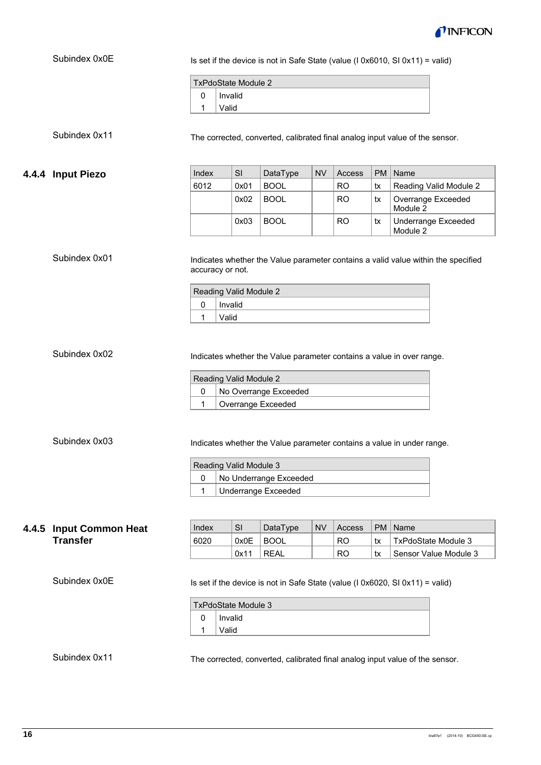

|       | Subindex 0x0E                                                                                 | Is set if the device is not in Safe State (value ( $\sqrt{10 \times 6010}$ , SI $0 \times 11$ ) = valid)                                                            |                            |                            |           |           |           |                                                                               |  |  |  |
|-------|-----------------------------------------------------------------------------------------------|---------------------------------------------------------------------------------------------------------------------------------------------------------------------|----------------------------|----------------------------|-----------|-----------|-----------|-------------------------------------------------------------------------------|--|--|--|
|       |                                                                                               |                                                                                                                                                                     |                            |                            |           |           |           |                                                                               |  |  |  |
|       |                                                                                               | <b>TxPdoState Module 2</b>                                                                                                                                          |                            |                            |           |           |           |                                                                               |  |  |  |
|       |                                                                                               | 0<br>Invalid                                                                                                                                                        |                            |                            |           |           |           |                                                                               |  |  |  |
|       |                                                                                               | 1                                                                                                                                                                   | Valid                      |                            |           |           |           |                                                                               |  |  |  |
|       | Subindex 0x11                                                                                 | The corrected, converted, calibrated final analog input value of the sensor.                                                                                        |                            |                            |           |           |           |                                                                               |  |  |  |
| 4.4.4 | <b>Input Piezo</b>                                                                            | Index                                                                                                                                                               | SI                         | DataType                   | <b>NV</b> | Access    | <b>PM</b> | Name                                                                          |  |  |  |
|       |                                                                                               | 6012                                                                                                                                                                | 0x01                       | <b>BOOL</b>                |           | <b>RO</b> | tx        | Reading Valid Module 2                                                        |  |  |  |
|       |                                                                                               |                                                                                                                                                                     | 0x02                       | <b>BOOL</b>                |           | <b>RO</b> | tx        | Overrange Exceeded<br>Module 2                                                |  |  |  |
|       |                                                                                               |                                                                                                                                                                     | 0x03                       | <b>BOOL</b>                |           | <b>RO</b> | tx        | <b>Underrange Exceeded</b><br>Module 2                                        |  |  |  |
|       | Subindex 0x01                                                                                 | Indicates whether the Value parameter contains a valid value within the specified<br>accuracy or not.                                                               |                            |                            |           |           |           |                                                                               |  |  |  |
|       |                                                                                               |                                                                                                                                                                     | Reading Valid Module 2     |                            |           |           |           |                                                                               |  |  |  |
|       |                                                                                               | Invalid<br>0                                                                                                                                                        |                            |                            |           |           |           |                                                                               |  |  |  |
|       |                                                                                               | 1<br>Valid                                                                                                                                                          |                            |                            |           |           |           |                                                                               |  |  |  |
|       | Subindex 0x02                                                                                 | Indicates whether the Value parameter contains a value in over range.<br>Reading Valid Module 2<br>0<br>No Overrange Exceeded<br>$\mathbf{1}$<br>Overrange Exceeded |                            |                            |           |           |           |                                                                               |  |  |  |
|       | Subindex 0x03                                                                                 | Indicates whether the Value parameter contains a value in under range.                                                                                              |                            |                            |           |           |           |                                                                               |  |  |  |
|       |                                                                                               |                                                                                                                                                                     | Reading Valid Module 3     |                            |           |           |           |                                                                               |  |  |  |
|       |                                                                                               | 0                                                                                                                                                                   |                            | No Underrange Exceeded     |           |           |           |                                                                               |  |  |  |
|       |                                                                                               | $\mathbf{1}$                                                                                                                                                        |                            | <b>Underrange Exceeded</b> |           |           |           |                                                                               |  |  |  |
|       |                                                                                               |                                                                                                                                                                     |                            |                            |           |           |           |                                                                               |  |  |  |
|       |                                                                                               | Index                                                                                                                                                               | <b>SI</b>                  | DataType                   | <b>NV</b> | Access    | <b>PM</b> | Name                                                                          |  |  |  |
| 4.4.5 | <b>Input Common Heat</b><br><b>Transfer</b>                                                   | 6020                                                                                                                                                                | 0x0E                       | <b>BOOL</b>                |           | <b>RO</b> | tx        | <b>TxPdoState Module 3</b>                                                    |  |  |  |
|       |                                                                                               |                                                                                                                                                                     | 0x11                       | <b>REAL</b>                |           | <b>RO</b> | tx        | Sensor Value Module 3                                                         |  |  |  |
|       | Subindex 0x0E                                                                                 |                                                                                                                                                                     |                            |                            |           |           |           | Is set if the device is not in Safe State (value (I 0x6020, SI 0x11) = valid) |  |  |  |
|       |                                                                                               |                                                                                                                                                                     | <b>TxPdoState Module 3</b> |                            |           |           |           |                                                                               |  |  |  |
|       |                                                                                               | 0                                                                                                                                                                   | Invalid                    |                            |           |           |           |                                                                               |  |  |  |
|       |                                                                                               | 1                                                                                                                                                                   | Valid                      |                            |           |           |           |                                                                               |  |  |  |
|       | Subindex 0x11<br>The corrected, converted, calibrated final analog input value of the sensor. |                                                                                                                                                                     |                            |                            |           |           |           |                                                                               |  |  |  |

The corrected, converted, calibrated final analog input value of the sensor.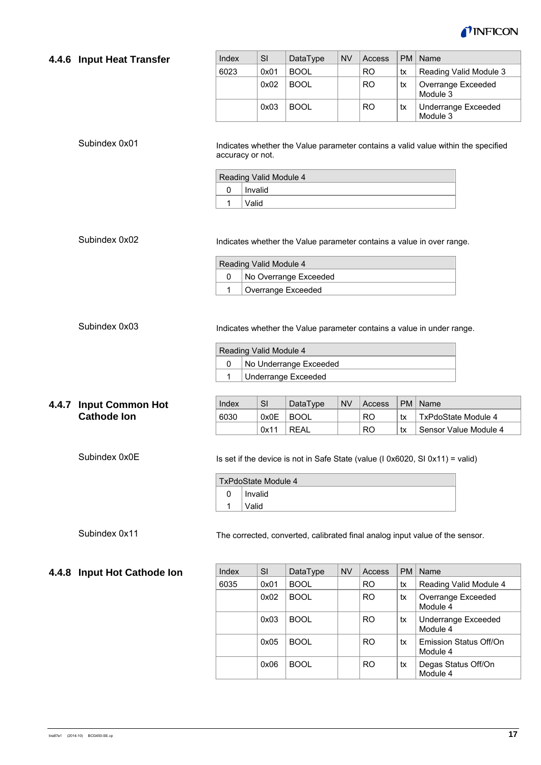

#### **4.4.6 Input Heat Transfer**

Subindex 0x01

| Index | SI   | DataType    | <b>NV</b> | Access         | <b>PM</b> | Name                                   |
|-------|------|-------------|-----------|----------------|-----------|----------------------------------------|
| 6023  | 0x01 | <b>BOOL</b> |           | R <sub>O</sub> | tx        | Reading Valid Module 3                 |
|       | 0x02 | <b>BOOL</b> |           | R <sub>O</sub> | tx        | Overrange Exceeded<br>Module 3         |
|       | 0x03 | <b>BOOL</b> |           | <b>RO</b>      | tx        | <b>Underrange Exceeded</b><br>Module 3 |

Indicates whether the Value parameter contains a valid value within the specified accuracy or not.

| Reading Valid Module 4 |  |  |  |  |  |  |
|------------------------|--|--|--|--|--|--|
| Invalid                |  |  |  |  |  |  |
| Valid                  |  |  |  |  |  |  |

#### Subindex 0x02

 $\overline{a}$ 

 $\overline{a}$ 

Indicates whether the Value parameter contains a value in over range.

|                    | Reading Valid Module 4 |                       |  |  |  |  |  |
|--------------------|------------------------|-----------------------|--|--|--|--|--|
|                    |                        | No Overrange Exceeded |  |  |  |  |  |
| Overrange Exceeded |                        |                       |  |  |  |  |  |

#### Subindex 0x03

Indicates whether the Value parameter contains a value in under range.

|                     | Reading Valid Module 4 |                        |  |  |  |  |  |
|---------------------|------------------------|------------------------|--|--|--|--|--|
|                     |                        | No Underrange Exceeded |  |  |  |  |  |
| Underrange Exceeded |                        |                        |  |  |  |  |  |

#### **4.4.7 Input Common Hot Cathode Ion**

Subindex 0x0E

| Index | SI        | DataType | <b>NV</b> | Access |    | PM   Name             |
|-------|-----------|----------|-----------|--------|----|-----------------------|
| 6030  | 0x0E BOOL |          |           | RO.    | tx | TxPdoState Module 4   |
|       | 0x11      | I REAL   |           | RO.    | tx | Sensor Value Module 4 |

Is set if the device is not in Safe State (value (I 0x6020, SI 0x11) = valid)

|   | TxPdoState Module 4 |  |  |  |  |  |  |  |
|---|---------------------|--|--|--|--|--|--|--|
| 0 | Invalid             |  |  |  |  |  |  |  |
|   | Valid               |  |  |  |  |  |  |  |

#### Subindex 0x11

The corrected, converted, calibrated final analog input value of the sensor.

### $Index$  SI DataType NV Access  $PM$  Name 6035  $\vert$  0x01 | BOOL  $\vert$  | RO  $\vert$  tx | Reading Valid Module 4 0x02 BOOL | RO tx Overrange Exceeded Module 4 0x03 BOOL | RO tx Underrange Exceeded Module 4  $0x05$  BOOL  $\vert$  RO  $\vert$  tx Emission Status Off/On Module 4 0x06 BOOL | RO tx Degas Status Off/On Module 4

#### **4.4.8 Input Hot Cathode Ion**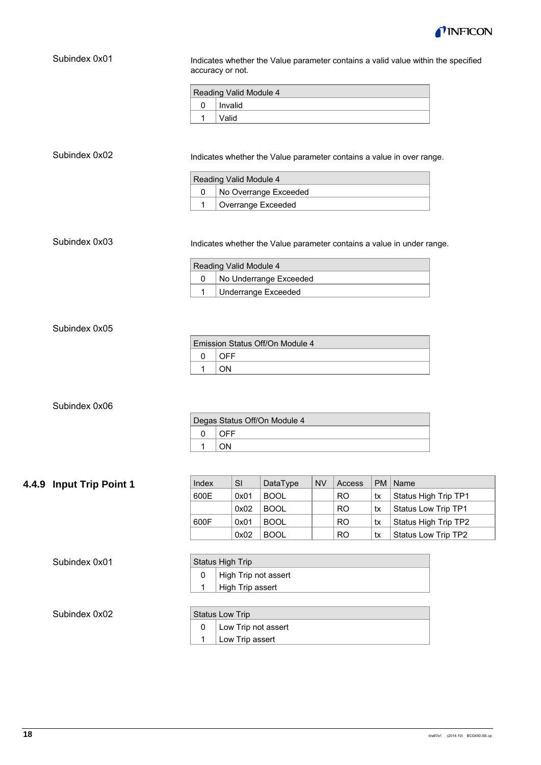

| Subindex 0x01            | Indicates whether the Value parameter contains a valid value within the specified<br>accuracy or not.                                                                         |              |                            |           |           |    |                                             |  |
|--------------------------|-------------------------------------------------------------------------------------------------------------------------------------------------------------------------------|--------------|----------------------------|-----------|-----------|----|---------------------------------------------|--|
|                          | Reading Valid Module 4                                                                                                                                                        |              |                            |           |           |    |                                             |  |
|                          | $\pmb{0}$<br>Invalid                                                                                                                                                          |              |                            |           |           |    |                                             |  |
|                          | 1<br>Valid                                                                                                                                                                    |              |                            |           |           |    |                                             |  |
| Subindex 0x02            | Indicates whether the Value parameter contains a value in over range.<br>Reading Valid Module 4<br>No Overrange Exceeded<br>$\mathbf 0$<br>$\mathbf{1}$<br>Overrange Exceeded |              |                            |           |           |    |                                             |  |
| Subindex 0x03            | Indicates whether the Value parameter contains a value in under range.                                                                                                        |              |                            |           |           |    |                                             |  |
|                          | Reading Valid Module 4                                                                                                                                                        |              |                            |           |           |    |                                             |  |
|                          | $\mathbf 0$                                                                                                                                                                   |              | No Underrange Exceeded     |           |           |    |                                             |  |
|                          | $\mathbf{1}$<br>Underrange Exceeded                                                                                                                                           |              |                            |           |           |    |                                             |  |
| Subindex 0x05            | Emission Status Off/On Module 4<br><b>OFF</b>                                                                                                                                 |              |                            |           |           |    |                                             |  |
|                          | 0<br>1<br>ON                                                                                                                                                                  |              |                            |           |           |    |                                             |  |
| Subindex 0x06            | Degas Status Off/On Module 4                                                                                                                                                  |              |                            |           |           |    |                                             |  |
|                          | <b>OFF</b><br>0                                                                                                                                                               |              |                            |           |           |    |                                             |  |
|                          | ON<br>1                                                                                                                                                                       |              |                            |           |           |    |                                             |  |
|                          |                                                                                                                                                                               |              |                            |           |           |    |                                             |  |
|                          |                                                                                                                                                                               |              |                            |           |           |    |                                             |  |
| 4.4.9 Input Trip Point 1 | Index                                                                                                                                                                         | SI           | DataType                   | <b>NV</b> | Access    | PM | Name                                        |  |
|                          | 600E                                                                                                                                                                          | 0x01         | <b>BOOL</b>                |           | <b>RO</b> | tx | Status High Trip TP1<br>Status Low Trip TP1 |  |
|                          | 600F                                                                                                                                                                          | 0x02<br>0x01 | <b>BOOL</b><br><b>BOOL</b> |           | <b>RO</b> | tx |                                             |  |
|                          |                                                                                                                                                                               | 0x02         | <b>BOOL</b>                |           | <b>RO</b> | tx | Status High Trip TP2<br>Status Low Trip TP2 |  |
|                          |                                                                                                                                                                               |              |                            |           | <b>RO</b> | tx |                                             |  |

| Subindex 0x01 |  |
|---------------|--|
|---------------|--|

| Status High Trip |                      |  |  |  |  |  |  |
|------------------|----------------------|--|--|--|--|--|--|
|                  | High Trip not assert |  |  |  |  |  |  |
|                  | High Trip assert     |  |  |  |  |  |  |

Subindex 0x02

| <b>Status Low Trip</b> |                     |  |  |  |  |
|------------------------|---------------------|--|--|--|--|
|                        | Low Trip not assert |  |  |  |  |
|                        | Low Trip assert     |  |  |  |  |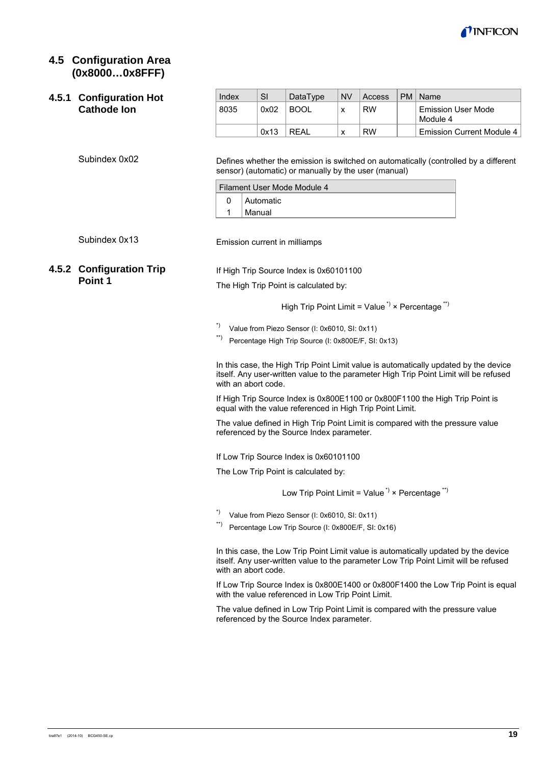

### **4.5 Configuration Area (0x8000…0x8FFF)**

#### **4.5.1 Configuration Hot Cathode Ion**

Subindex 0x02

| Index | SI   | DataType    | <b>NV</b> | <b>Access</b> | PM   Name                             |
|-------|------|-------------|-----------|---------------|---------------------------------------|
| 8035  | 0x02 | <b>BOOL</b> | x         | <b>RW</b>     | <b>Emission User Mode</b><br>Module 4 |
|       | 0x13 | RFAI        | х         | <b>RW</b>     | Emission Current Module 4             |

Defines whether the emission is switched on automatically (controlled by a different sensor) (automatic) or manually by the user (manual)

| Filament User Mode Module 4 |  |  |  |  |  |  |  |  |
|-----------------------------|--|--|--|--|--|--|--|--|
| <sup>1</sup> Automatic      |  |  |  |  |  |  |  |  |
| Manual                      |  |  |  |  |  |  |  |  |

Subindex 0x13

Emission current in milliamps

### **4.5.2 Configuration Trip Point 1**

If High Trip Source Index is 0x60101100

The High Trip Point is calculated by:

High Trip Point Limit = Value<sup> $\gamma$ </sup> × Percentage<sup>\*\*</sup>)

\*) Value from Piezo Sensor (I: 0x6010, SI: 0x11)

\*\*) Percentage High Trip Source (I: 0x800E/F, SI: 0x13)

In this case, the High Trip Point Limit value is automatically updated by the device itself. Any user-written value to the parameter High Trip Point Limit will be refused with an abort code.

If High Trip Source Index is 0x800E1100 or 0x800F1100 the High Trip Point is equal with the value referenced in High Trip Point Limit.

The value defined in High Trip Point Limit is compared with the pressure value referenced by the Source Index parameter.

If Low Trip Source Index is 0x60101100

The Low Trip Point is calculated by:

Low Trip Point Limit = Value<sup> $\dot{ }$ </sup> × Percentage<sup> $\dot{ }$ </sup>

- \*) Value from Piezo Sensor (I: 0x6010, SI: 0x11)
- \*\*) Percentage Low Trip Source (I: 0x800E/F, SI: 0x16)

In this case, the Low Trip Point Limit value is automatically updated by the device itself. Any user-written value to the parameter Low Trip Point Limit will be refused with an abort code.

If Low Trip Source Index is 0x800E1400 or 0x800F1400 the Low Trip Point is equal with the value referenced in Low Trip Point Limit.

The value defined in Low Trip Point Limit is compared with the pressure value referenced by the Source Index parameter.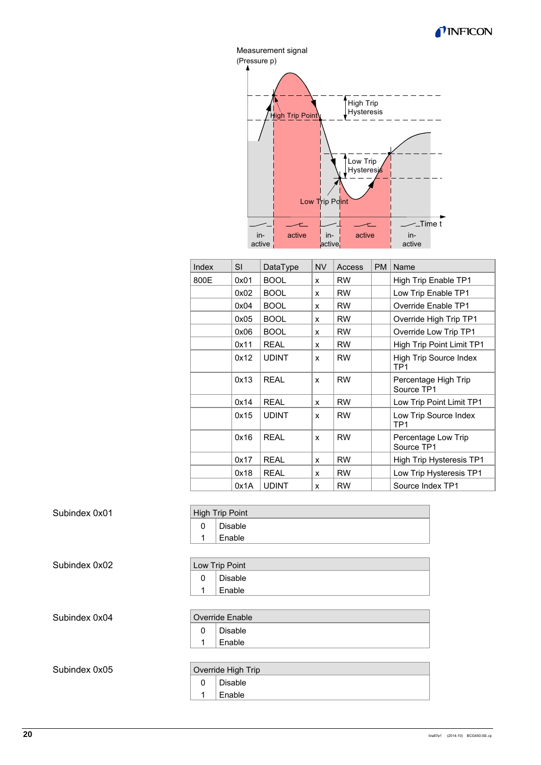



| Index | <b>SI</b> | DataType     | <b>NV</b>    | Access    | PM | Name                                      |
|-------|-----------|--------------|--------------|-----------|----|-------------------------------------------|
| 800E  | 0x01      | <b>BOOL</b>  | X            | <b>RW</b> |    | High Trip Enable TP1                      |
|       | 0x02      | <b>BOOL</b>  | x            | <b>RW</b> |    | Low Trip Enable TP1                       |
|       | 0x04      | <b>BOOL</b>  | x            | <b>RW</b> |    | Override Enable TP1                       |
|       | 0x05      | <b>BOOL</b>  | x            | <b>RW</b> |    | Override High Trip TP1                    |
|       | 0x06      | <b>BOOL</b>  | x            | <b>RW</b> |    | Override Low Trip TP1                     |
|       | 0x11      | <b>REAL</b>  | x            | <b>RW</b> |    | High Trip Point Limit TP1                 |
|       | 0x12      | <b>UDINT</b> | x            | <b>RW</b> |    | High Trip Source Index<br>TP <sub>1</sub> |
|       | 0x13      | <b>REAL</b>  | $\mathbf{x}$ | <b>RW</b> |    | Percentage High Trip<br>Source TP1        |
|       | 0x14      | <b>REAL</b>  | x            | <b>RW</b> |    | Low Trip Point Limit TP1                  |
|       | 0x15      | <b>UDINT</b> | x            | <b>RW</b> |    | Low Trip Source Index<br>TP <sub>1</sub>  |
|       | 0x16      | <b>REAL</b>  | $\mathbf{x}$ | <b>RW</b> |    | Percentage Low Trip<br>Source TP1         |
|       | 0x17      | <b>REAL</b>  | x            | <b>RW</b> |    | High Trip Hysteresis TP1                  |
|       | 0x18      | <b>REAL</b>  | x            | <b>RW</b> |    | Low Trip Hysteresis TP1                   |
|       | 0x1A      | <b>UDINT</b> | x            | <b>RW</b> |    | Source Index TP1                          |

#### Subindex 0x01

| <b>High Trip Point</b> |
|------------------------|
| Disable                |
| Enable                 |

Subindex 0x02

| Low Trip Point      |
|---------------------|
| Disable             |
| <sup>1</sup> Enable |

Subindex 0x04

Override Enable

0 Disable

> 1 Enable

Subindex 0x05

#### Override High Trip 0 1 Disable Enable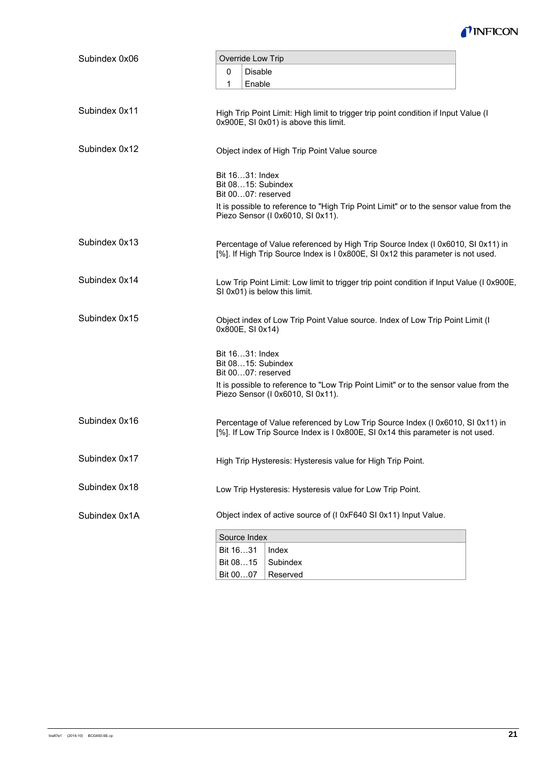

| Subindex 0x06 | Override Low Trip                                                                                                                                                  |  |  |  |  |  |  |  |
|---------------|--------------------------------------------------------------------------------------------------------------------------------------------------------------------|--|--|--|--|--|--|--|
|               | <b>Disable</b><br>0                                                                                                                                                |  |  |  |  |  |  |  |
|               | Enable<br>1                                                                                                                                                        |  |  |  |  |  |  |  |
|               |                                                                                                                                                                    |  |  |  |  |  |  |  |
| Subindex 0x11 | High Trip Point Limit: High limit to trigger trip point condition if Input Value (I<br>0x900E, SI 0x01) is above this limit.                                       |  |  |  |  |  |  |  |
| Subindex 0x12 | Object index of High Trip Point Value source                                                                                                                       |  |  |  |  |  |  |  |
|               | Bit 1631: Index<br>Bit 0815: Subindex<br>Bit 0007: reserved                                                                                                        |  |  |  |  |  |  |  |
|               | It is possible to reference to "High Trip Point Limit" or to the sensor value from the<br>Piezo Sensor (I 0x6010, SI 0x11).                                        |  |  |  |  |  |  |  |
| Subindex 0x13 | Percentage of Value referenced by High Trip Source Index (I 0x6010, SI 0x11) in<br>[%]. If High Trip Source Index is I 0x800E, SI 0x12 this parameter is not used. |  |  |  |  |  |  |  |
| Subindex 0x14 | Low Trip Point Limit: Low limit to trigger trip point condition if Input Value (I 0x900E,<br>SI 0x01) is below this limit.                                         |  |  |  |  |  |  |  |
| Subindex 0x15 | Object index of Low Trip Point Value source. Index of Low Trip Point Limit (I<br>0x800E, SI 0x14)                                                                  |  |  |  |  |  |  |  |
|               | Bit 1631: Index<br>Bit 0815: Subindex<br>Bit 0007: reserved                                                                                                        |  |  |  |  |  |  |  |
|               | It is possible to reference to "Low Trip Point Limit" or to the sensor value from the<br>Piezo Sensor (I 0x6010, SI 0x11).                                         |  |  |  |  |  |  |  |
| Subindex 0x16 | Percentage of Value referenced by Low Trip Source Index (I 0x6010, SI 0x11) in<br>[%]. If Low Trip Source Index is I 0x800E, SI 0x14 this parameter is not used.   |  |  |  |  |  |  |  |
| Subindex 0x17 | High Trip Hysteresis: Hysteresis value for High Trip Point.                                                                                                        |  |  |  |  |  |  |  |
| Subindex 0x18 | Low Trip Hysteresis: Hysteresis value for Low Trip Point.                                                                                                          |  |  |  |  |  |  |  |
| Subindex 0x1A | Object index of active source of (I 0xF640 SI 0x11) Input Value.                                                                                                   |  |  |  |  |  |  |  |
|               | Source Index                                                                                                                                                       |  |  |  |  |  |  |  |
|               | Bit 1631<br>Index                                                                                                                                                  |  |  |  |  |  |  |  |
|               | Bit 0815<br>Subindex                                                                                                                                               |  |  |  |  |  |  |  |
|               | Bit 0007<br>Reserved                                                                                                                                               |  |  |  |  |  |  |  |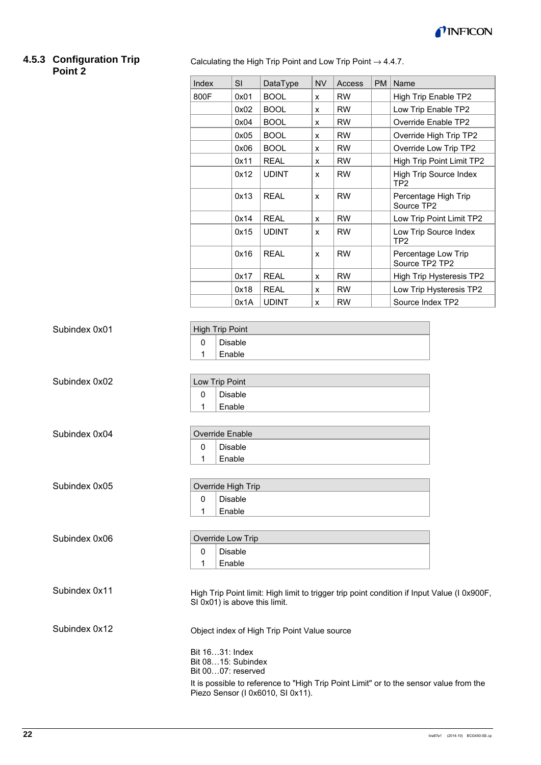

#### **4.5.3 Configuration Trip Point 2**

Calculating the High Trip Point and Low Trip Point  $\rightarrow$  4.4.7.

|                                                                  | Index                                                                                                                        | SI                                                                                   | DataType     | <b>NV</b>          | Access    | <b>PM</b> | Name                                                                                        |  |  |  |
|------------------------------------------------------------------|------------------------------------------------------------------------------------------------------------------------------|--------------------------------------------------------------------------------------|--------------|--------------------|-----------|-----------|---------------------------------------------------------------------------------------------|--|--|--|
|                                                                  | 800F                                                                                                                         | 0x01                                                                                 | <b>BOOL</b>  | $\pmb{\mathsf{x}}$ | <b>RW</b> |           | High Trip Enable TP2                                                                        |  |  |  |
|                                                                  |                                                                                                                              | 0x02                                                                                 | <b>BOOL</b>  | $\pmb{\mathsf{x}}$ | <b>RW</b> |           | Low Trip Enable TP2                                                                         |  |  |  |
|                                                                  |                                                                                                                              | 0x04                                                                                 | <b>BOOL</b>  | x                  | <b>RW</b> |           | Override Enable TP2                                                                         |  |  |  |
|                                                                  |                                                                                                                              | 0x05                                                                                 | <b>BOOL</b>  | x                  | <b>RW</b> |           | Override High Trip TP2                                                                      |  |  |  |
|                                                                  |                                                                                                                              | 0x06                                                                                 | <b>BOOL</b>  | $\pmb{\mathsf{x}}$ | <b>RW</b> |           | Override Low Trip TP2                                                                       |  |  |  |
|                                                                  |                                                                                                                              | 0x11                                                                                 | <b>REAL</b>  | $\pmb{\mathsf{x}}$ | <b>RW</b> |           | High Trip Point Limit TP2                                                                   |  |  |  |
|                                                                  |                                                                                                                              | 0x12                                                                                 | <b>UDINT</b> | $\pmb{\mathsf{x}}$ | <b>RW</b> |           | <b>High Trip Source Index</b><br>TP <sub>2</sub>                                            |  |  |  |
|                                                                  |                                                                                                                              | 0x13                                                                                 | <b>REAL</b>  | x                  | <b>RW</b> |           | Percentage High Trip<br>Source TP2                                                          |  |  |  |
|                                                                  |                                                                                                                              | 0x14                                                                                 | <b>REAL</b>  | $\pmb{\mathsf{x}}$ | <b>RW</b> |           | Low Trip Point Limit TP2                                                                    |  |  |  |
|                                                                  |                                                                                                                              | 0x15                                                                                 | <b>UDINT</b> | x                  | <b>RW</b> |           | Low Trip Source Index<br>TP <sub>2</sub>                                                    |  |  |  |
|                                                                  |                                                                                                                              | 0x16                                                                                 | <b>REAL</b>  | x                  | <b>RW</b> |           | Percentage Low Trip<br>Source TP2 TP2                                                       |  |  |  |
|                                                                  |                                                                                                                              | 0x17                                                                                 | <b>REAL</b>  | $\pmb{\mathsf{x}}$ | <b>RW</b> |           | High Trip Hysteresis TP2                                                                    |  |  |  |
|                                                                  |                                                                                                                              | 0x18                                                                                 | <b>REAL</b>  | $\pmb{\mathsf{x}}$ | <b>RW</b> |           | Low Trip Hysteresis TP2                                                                     |  |  |  |
|                                                                  |                                                                                                                              | 0x1A                                                                                 | <b>UDINT</b> | X                  | <b>RW</b> |           | Source Index TP2                                                                            |  |  |  |
| Subindex 0x01<br>Subindex 0x02<br>Subindex 0x04<br>Subindex 0x05 | <b>High Trip Point</b><br>0<br>1<br>Low Trip Point<br>$\pmb{0}$<br>1<br>Override Enable<br>0<br>1<br>Override High Trip<br>0 | <b>Disable</b><br>Enable<br>Disable<br>Enable<br><b>Disable</b><br>Enable<br>Disable |              |                    |           |           |                                                                                             |  |  |  |
|                                                                  | 1                                                                                                                            | Enable                                                                               |              |                    |           |           |                                                                                             |  |  |  |
| Subindex 0x06                                                    | Override Low Trip                                                                                                            |                                                                                      |              |                    |           |           |                                                                                             |  |  |  |
|                                                                  | 0<br>1                                                                                                                       | Disable<br>Enable                                                                    |              |                    |           |           |                                                                                             |  |  |  |
| Subindex 0x11                                                    | SI 0x01) is above this limit.                                                                                                |                                                                                      |              |                    |           |           | High Trip Point limit: High limit to trigger trip point condition if Input Value (I 0x900F, |  |  |  |
| Subindex 0x12                                                    | Object index of High Trip Point Value source                                                                                 |                                                                                      |              |                    |           |           |                                                                                             |  |  |  |
|                                                                  | Bit 1631: Index<br>Bit 0815: Subindex<br>Bit 0007: reserved                                                                  |                                                                                      |              |                    |           |           | It is possible to reference to "High Trip Point Limit" or to the sensor value from the      |  |  |  |
|                                                                  |                                                                                                                              |                                                                                      |              |                    |           |           |                                                                                             |  |  |  |

Piezo Sensor (I 0x6010, SI 0x11).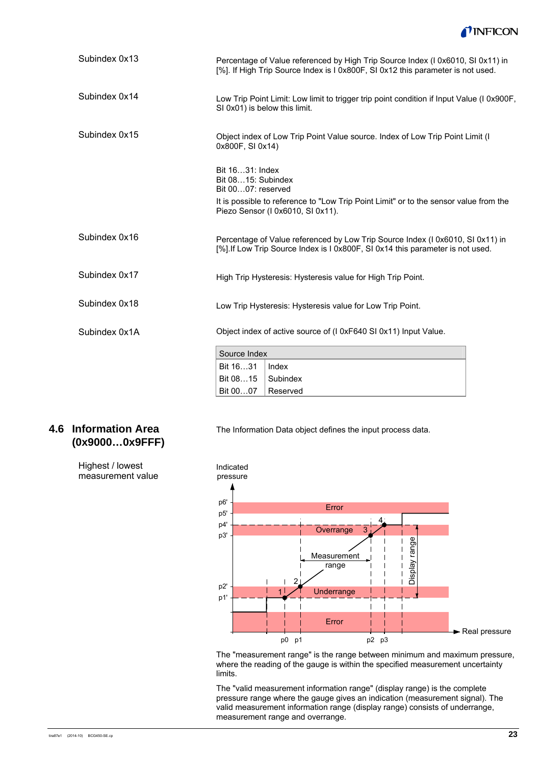

| Subindex 0x13 | Percentage of Value referenced by High Trip Source Index (I 0x6010, SI 0x11) in<br>[%]. If High Trip Source Index is I 0x800F, SI 0x12 this parameter is not used. |                                                                                                                                                                  |  |  |  |  |  |
|---------------|--------------------------------------------------------------------------------------------------------------------------------------------------------------------|------------------------------------------------------------------------------------------------------------------------------------------------------------------|--|--|--|--|--|
| Subindex 0x14 | SI 0x01) is below this limit.                                                                                                                                      | Low Trip Point Limit: Low limit to trigger trip point condition if Input Value (I 0x900F,                                                                        |  |  |  |  |  |
| Subindex 0x15 | 0x800F, SI 0x14)                                                                                                                                                   | Object index of Low Trip Point Value source. Index of Low Trip Point Limit (I                                                                                    |  |  |  |  |  |
|               | Bit 1631: Index<br>Bit 0815: Subindex<br>Bit 0007: reserved                                                                                                        | It is possible to reference to "Low Trip Point Limit" or to the sensor value from the<br>Piezo Sensor (I 0x6010, SI 0x11).                                       |  |  |  |  |  |
| Subindex 0x16 |                                                                                                                                                                    | Percentage of Value referenced by Low Trip Source Index (I 0x6010, SI 0x11) in<br>[%]. If Low Trip Source Index is I 0x800F, SI 0x14 this parameter is not used. |  |  |  |  |  |
| Subindex 0x17 |                                                                                                                                                                    | High Trip Hysteresis: Hysteresis value for High Trip Point.                                                                                                      |  |  |  |  |  |
| Subindex 0x18 |                                                                                                                                                                    | Low Trip Hysteresis: Hysteresis value for Low Trip Point.                                                                                                        |  |  |  |  |  |
| Subindex 0x1A |                                                                                                                                                                    | Object index of active source of (I 0xF640 SI 0x11) Input Value.                                                                                                 |  |  |  |  |  |
|               | Source Index                                                                                                                                                       |                                                                                                                                                                  |  |  |  |  |  |
|               | Bit 1631                                                                                                                                                           | Index                                                                                                                                                            |  |  |  |  |  |
|               | Bit 0815                                                                                                                                                           | Subindex                                                                                                                                                         |  |  |  |  |  |

Reserved

Bit 00…07

### **4.6 Information Area (0x9000…0x9FFF)**

Highest / lowest measurement value The Information Data object defines the input process data.



The "measurement range" is the range between minimum and maximum pressure, where the reading of the gauge is within the specified measurement uncertainty limits.

The "valid measurement information range" (display range) is the complete pressure range where the gauge gives an indication (measurement signal). The valid measurement information range (display range) consists of underrange, measurement range and overrange.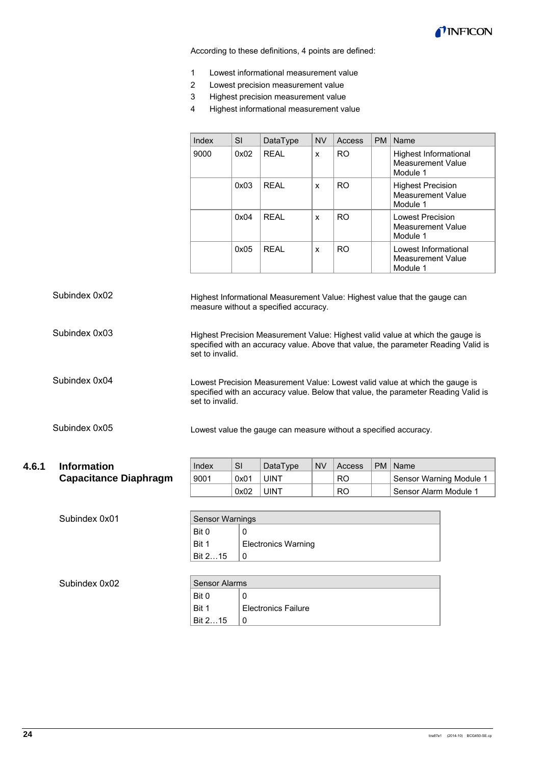

According to these definitions, 4 points are defined:

- 1 Lowest informational measurement value
- 2 Lowest precision measurement value
- 3 Highest precision measurement value

J.

4 Highest informational measurement value

| Index | SI   | DataType | <b>NV</b> | Access         | PM | Name                                                             |
|-------|------|----------|-----------|----------------|----|------------------------------------------------------------------|
| 9000  | 0x02 | RFAI     | x         | R <sub>O</sub> |    | Highest Informational<br><b>Measurement Value</b><br>Module 1    |
|       | 0x03 | RFAI     | X         | RO.            |    | <b>Highest Precision</b><br><b>Measurement Value</b><br>Module 1 |
|       | 0x04 | RFAI     | x         | RO.            |    | <b>Lowest Precision</b><br>Measurement Value<br>Module 1         |
|       | 0x05 | RFAI     | x         | R <sub>O</sub> |    | Lowest Informational<br>Measurement Value<br>Module 1            |

Highest Informational Measurement Value: Highest value that the gauge can measure without a specified accuracy. Highest Precision Measurement Value: Highest valid value at which the gauge is specified with an accuracy value. Above that value, the parameter Reading Valid is set to invalid. Lowest Precision Measurement Value: Lowest valid value at which the gauge is specified with an accuracy value. Below that value, the parameter Reading Valid is set to invalid. Lowest value the gauge can measure without a specified accuracy. Subindex 0x02 Subindex 0x03 Subindex 0x04 Subindex 0x05

| 4.6.1 | <b>Information</b>           | Index | <b>SI</b> | <b>DataType</b> | <b>NV</b> | Access | <b>PM</b> | Name                    |
|-------|------------------------------|-------|-----------|-----------------|-----------|--------|-----------|-------------------------|
|       | <b>Capacitance Diaphragm</b> | 9001  | 0x01      | <b>UINT</b>     |           | RO     |           | Sensor Warning Module 1 |
|       |                              |       | 0x02      | <b>UINT</b>     |           | RO     |           | Sensor Alarm Module 1   |

| Subindex 0x01 |                      | <b>Sensor Warnings</b>     |  |  |  |  |  |  |
|---------------|----------------------|----------------------------|--|--|--|--|--|--|
|               | Bit 0                | 0                          |  |  |  |  |  |  |
|               | Bit 1                | <b>Electronics Warning</b> |  |  |  |  |  |  |
|               | Bit 215              | 0                          |  |  |  |  |  |  |
|               |                      |                            |  |  |  |  |  |  |
| Subindex 0x02 | <b>Sensor Alarms</b> |                            |  |  |  |  |  |  |
|               | Bit 0                | 0                          |  |  |  |  |  |  |
|               | Bit 1                | <b>Electronics Failure</b> |  |  |  |  |  |  |

Bit 2...15  $|0|$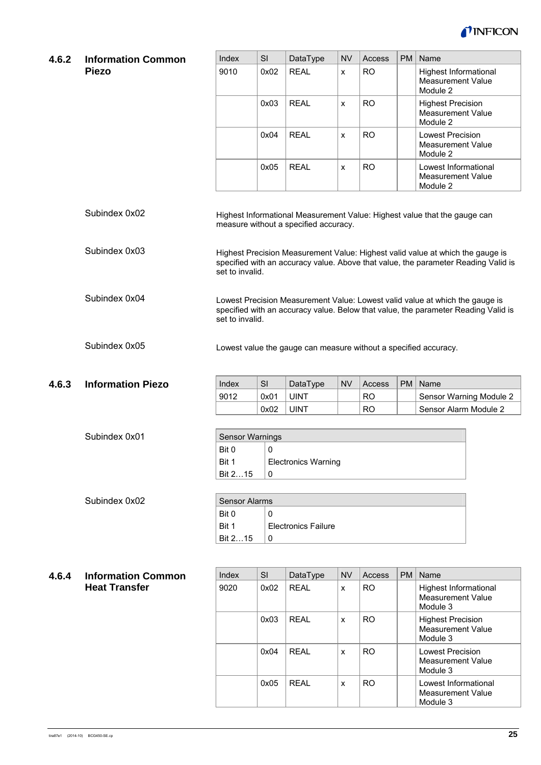

| <b>Information Common</b> | Index                    | SI    | DataType                                 | <b>NV</b> | Access                                             | <b>PM</b> | Name                                                                                                                                                                                                                                                                                                                                                                                                                                                                                                     |  |  |
|---------------------------|--------------------------|-------|------------------------------------------|-----------|----------------------------------------------------|-----------|----------------------------------------------------------------------------------------------------------------------------------------------------------------------------------------------------------------------------------------------------------------------------------------------------------------------------------------------------------------------------------------------------------------------------------------------------------------------------------------------------------|--|--|
| <b>Piezo</b>              | 9010                     | 0x02  | <b>REAL</b>                              | X         | <b>RO</b>                                          |           | Highest Informational<br><b>Measurement Value</b><br>Module 2                                                                                                                                                                                                                                                                                                                                                                                                                                            |  |  |
|                           |                          | 0x03  | <b>REAL</b>                              | X         | <b>RO</b>                                          |           | <b>Highest Precision</b><br><b>Measurement Value</b><br>Module 2                                                                                                                                                                                                                                                                                                                                                                                                                                         |  |  |
|                           |                          | 0x04  | <b>REAL</b>                              | x         | <b>RO</b>                                          |           | <b>Lowest Precision</b><br><b>Measurement Value</b><br>Module 2                                                                                                                                                                                                                                                                                                                                                                                                                                          |  |  |
|                           |                          | 0x05  | <b>REAL</b>                              | X         | <b>RO</b>                                          |           | Lowest Informational<br><b>Measurement Value</b><br>Module 2                                                                                                                                                                                                                                                                                                                                                                                                                                             |  |  |
| Subindex 0x02             |                          |       |                                          |           |                                                    |           |                                                                                                                                                                                                                                                                                                                                                                                                                                                                                                          |  |  |
| Subindex 0x03             |                          |       |                                          |           |                                                    |           |                                                                                                                                                                                                                                                                                                                                                                                                                                                                                                          |  |  |
| Subindex 0x04             |                          |       |                                          |           |                                                    |           |                                                                                                                                                                                                                                                                                                                                                                                                                                                                                                          |  |  |
| Subindex 0x05             |                          |       |                                          |           |                                                    |           |                                                                                                                                                                                                                                                                                                                                                                                                                                                                                                          |  |  |
|                           |                          |       |                                          |           |                                                    |           | Name                                                                                                                                                                                                                                                                                                                                                                                                                                                                                                     |  |  |
|                           | 9012                     | 0x01  | <b>UINT</b>                              |           | <b>RO</b>                                          |           | Sensor Warning Module 2                                                                                                                                                                                                                                                                                                                                                                                                                                                                                  |  |  |
|                           |                          | 0x02  | <b>UINT</b>                              |           | <b>RO</b>                                          |           | Sensor Alarm Module 2                                                                                                                                                                                                                                                                                                                                                                                                                                                                                    |  |  |
|                           |                          |       |                                          |           |                                                    |           |                                                                                                                                                                                                                                                                                                                                                                                                                                                                                                          |  |  |
|                           | <b>Sensor Warnings</b>   |       |                                          |           |                                                    |           |                                                                                                                                                                                                                                                                                                                                                                                                                                                                                                          |  |  |
| Subindex 0x01             | Bit 0                    | 0     |                                          |           |                                                    |           |                                                                                                                                                                                                                                                                                                                                                                                                                                                                                                          |  |  |
|                           | <b>Information Piezo</b> | Index | set to invalid.<br>set to invalid.<br>SI | DataType  | measure without a specified accuracy.<br><b>NV</b> | Access    | Highest Informational Measurement Value: Highest value that the gauge can<br>Highest Precision Measurement Value: Highest valid value at which the gauge is<br>specified with an accuracy value. Above that value, the parameter Reading Valid is<br>Lowest Precision Measurement Value: Lowest valid value at which the gauge is<br>specified with an accuracy value. Below that value, the parameter Reading Valid is<br>Lowest value the gauge can measure without a specified accuracy.<br><b>PM</b> |  |  |

| Subindex 0x02 | Sensor Alarms |                            |  |  |  |
|---------------|---------------|----------------------------|--|--|--|
|               | Bit 0         | C                          |  |  |  |
|               | Bit 1         | <b>Electronics Failure</b> |  |  |  |
|               | Bit 215       | C                          |  |  |  |

0

Bit 2…15

| 4.6.4 Information Common |  |
|--------------------------|--|
| <b>Heat Transfer</b>     |  |

| Index | <b>SI</b> | DataType | <b>NV</b> | Access         | <b>PM</b> | Name                                                             |  |  |  |
|-------|-----------|----------|-----------|----------------|-----------|------------------------------------------------------------------|--|--|--|
| 9020  | 0x02      | RFAI     | x         | R <sub>O</sub> |           | Highest Informational<br>Measurement Value<br>Module 3           |  |  |  |
|       | 0x03      | RFAI     | x         | R <sub>O</sub> |           | <b>Highest Precision</b><br><b>Measurement Value</b><br>Module 3 |  |  |  |
|       | 0x04      | RFAI     | x         | R <sub>O</sub> |           | <b>Lowest Precision</b><br>Measurement Value<br>Module 3         |  |  |  |
|       | 0x05      | RFAI     | x         | R <sub>O</sub> |           | Lowest Informational<br>Measurement Value<br>Module 3            |  |  |  |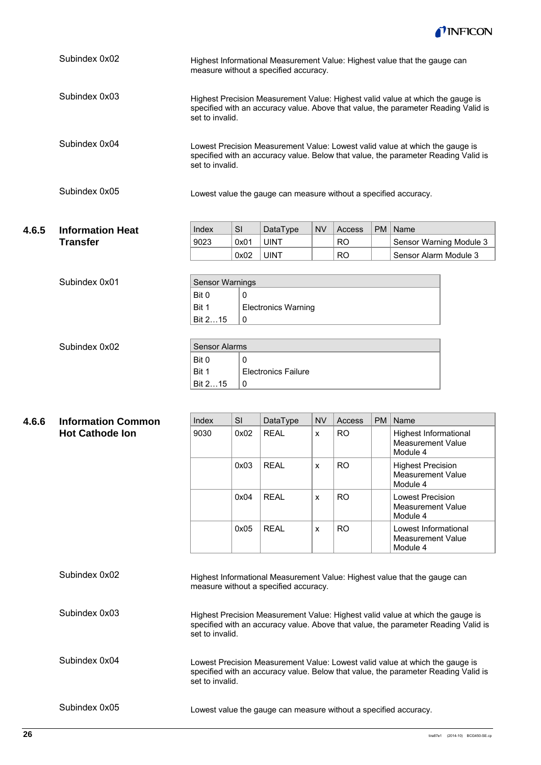

|                 | Highest Informational Measurement Value: Highest value that the gauge can<br>measure without a specified accuracy. |      |                                    |           |           |           |                                                                                                                                                                                                                                                                                                                                                                                                                |
|-----------------|--------------------------------------------------------------------------------------------------------------------|------|------------------------------------|-----------|-----------|-----------|----------------------------------------------------------------------------------------------------------------------------------------------------------------------------------------------------------------------------------------------------------------------------------------------------------------------------------------------------------------------------------------------------------------|
| Subindex 0x03   |                                                                                                                    |      |                                    |           |           |           |                                                                                                                                                                                                                                                                                                                                                                                                                |
| Subindex 0x04   |                                                                                                                    |      |                                    |           |           |           |                                                                                                                                                                                                                                                                                                                                                                                                                |
| Subindex 0x05   |                                                                                                                    |      |                                    |           |           |           |                                                                                                                                                                                                                                                                                                                                                                                                                |
|                 | Index                                                                                                              | SI   |                                    | <b>NV</b> | Access    | <b>PM</b> | Name                                                                                                                                                                                                                                                                                                                                                                                                           |
| <b>Transfer</b> | 9023                                                                                                               | 0x01 | <b>UINT</b>                        |           | <b>RO</b> |           | Sensor Warning Module 3                                                                                                                                                                                                                                                                                                                                                                                        |
|                 |                                                                                                                    | 0x02 | <b>UINT</b>                        |           | <b>RO</b> |           | Sensor Alarm Module 3                                                                                                                                                                                                                                                                                                                                                                                          |
| Subindex 0x01   | <b>Sensor Warnings</b><br>Bit 0<br>0<br>Bit 1<br>Electronics Warning<br>Bit 215<br>0                               |      |                                    |           |           |           |                                                                                                                                                                                                                                                                                                                                                                                                                |
|                 | <b>Information Heat</b>                                                                                            |      | set to invalid.<br>set to invalid. | DataType  |           |           | Highest Precision Measurement Value: Highest valid value at which the gauge is<br>specified with an accuracy value. Above that value, the parameter Reading Valid is<br>Lowest Precision Measurement Value: Lowest valid value at which the gauge is<br>specified with an accuracy value. Below that value, the parameter Reading Valid is<br>Lowest value the gauge can measure without a specified accuracy. |

| Subindex 0x02 | Sensor Alarms |                            |
|---------------|---------------|----------------------------|
|               | Bit 0         |                            |
|               | Bit 1         | <b>Electronics Failure</b> |
|               | Bit 215       |                            |

| 4.6.6 | <b>Information Common</b> | Index | <b>SI</b> | DataType                              | <b>NV</b> | Access    | <b>PM</b> | Name                                                                           |
|-------|---------------------------|-------|-----------|---------------------------------------|-----------|-----------|-----------|--------------------------------------------------------------------------------|
|       | <b>Hot Cathode Ion</b>    | 9030  | 0x02      | <b>REAL</b>                           | X         | <b>RO</b> |           | Highest Informational<br><b>Measurement Value</b><br>Module 4                  |
|       |                           |       | 0x03      | <b>REAL</b>                           | X         | <b>RO</b> |           | <b>Highest Precision</b><br>Measurement Value<br>Module 4                      |
|       |                           |       | 0x04      | <b>REAL</b>                           | X         | <b>RO</b> |           | Lowest Precision<br>Measurement Value<br>Module 4                              |
|       |                           |       | 0x05      | <b>REAL</b>                           | X         | <b>RO</b> |           | Lowest Informational<br>Measurement Value<br>Module 4                          |
|       | Subindex 0x02             |       |           | measure without a specified accuracy. |           |           |           | Highest Informational Measurement Value: Highest value that the gauge can      |
|       | Subindex 0x03             |       |           |                                       |           |           |           | Highest Precision Measurement Value: Highest valid value at which the gauge is |

Highest Precision Measurement Value: Highest valid value at which the gauge is specified with an accuracy value. Above that value, the parameter Reading Valid is set to invalid.

Lowest Precision Measurement Value: Lowest valid value at which the gauge is specified with an accuracy value. Below that value, the parameter Reading Valid is set to invalid. Subindex 0x04

Subindex 0x05

Lowest value the gauge can measure without a specified accuracy.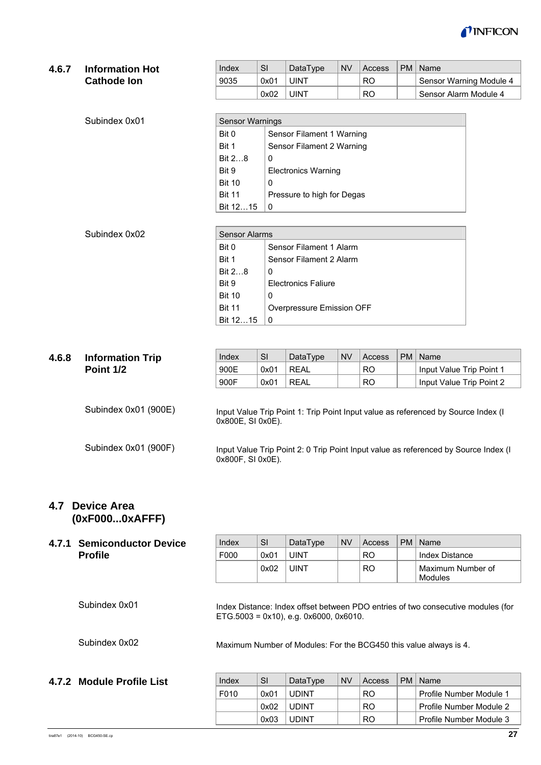

#### **4.6.7 Information Hot Cathode Ion**

| Index | SI   | DataType    | <b>NV</b> | Access    | PM   Name               |
|-------|------|-------------|-----------|-----------|-------------------------|
| 9035  | 0x01 | <b>UINT</b> |           | RO.       | Sensor Warning Module 4 |
|       | 0x02 | <b>UINT</b> |           | <b>RO</b> | Sensor Alarm Module 4   |

| Subindex 0x01 | <b>Sensor Warnings</b> |                            |  |  |  |
|---------------|------------------------|----------------------------|--|--|--|
|               | Bit 0                  | Sensor Filament 1 Warning  |  |  |  |
|               | Bit 1                  | Sensor Filament 2 Warning  |  |  |  |
|               | Bit 28                 | 0                          |  |  |  |
|               | Bit 9                  | <b>Electronics Warning</b> |  |  |  |
|               | <b>Bit 10</b>          | 0                          |  |  |  |
|               | <b>Bit 11</b>          | Pressure to high for Degas |  |  |  |
|               | Bit 1215               | 0                          |  |  |  |

| Subindex 0x02 | <b>Sensor Alarms</b> |                            |  |  |  |  |
|---------------|----------------------|----------------------------|--|--|--|--|
|               | Bit 0                | Sensor Filament 1 Alarm    |  |  |  |  |
|               | Bit 1                | Sensor Filament 2 Alarm    |  |  |  |  |
|               | Bit $28$             | 0                          |  |  |  |  |
|               | Bit 9                | <b>Electronics Faliure</b> |  |  |  |  |
|               | <b>Bit 10</b>        | 0                          |  |  |  |  |
|               | <b>Bit 11</b>        | Overpressure Emission OFF  |  |  |  |  |
|               | Bit 1215             | 0                          |  |  |  |  |

| 4.6.8 | <b>Information Trip</b> | Index                   | <b>SI</b> | DataType    | <b>NV</b> | Access         | <b>PM</b> | Name                                                                                |
|-------|-------------------------|-------------------------|-----------|-------------|-----------|----------------|-----------|-------------------------------------------------------------------------------------|
|       | Point 1/2               | 900E                    | 0x01      | <b>REAL</b> |           | R <sub>O</sub> |           | Input Value Trip Point 1                                                            |
|       |                         | 900F                    | 0x01      | <b>REAL</b> |           | R <sub>O</sub> |           | Input Value Trip Point 2                                                            |
|       | Subindex 0x01 (900E)    | $0x800E$ , SI $0x0E$ ). |           |             |           |                |           | Input Value Trip Point 1: Trip Point Input value as referenced by Source Index (I   |
|       | Subindex 0x01 (900F)    | $0x800F$ , SI $0x0E$ ). |           |             |           |                |           | Input Value Trip Point 2: 0 Trip Point Input value as referenced by Source Index (I |

### **4.7 Device Area (0xF000...0xAFFF)**

## **4.7.1 Semiconductor Device Profile**

| 4.7.1 | <b>Semiconductor Device</b> | Index | SI   | DataType                                       | <b>NV</b> | Access    | <b>PM</b> | Name                                                                             |
|-------|-----------------------------|-------|------|------------------------------------------------|-----------|-----------|-----------|----------------------------------------------------------------------------------|
|       | <b>Profile</b>              | F000  | 0x01 | <b>UINT</b>                                    |           | <b>RO</b> |           | Index Distance                                                                   |
|       |                             |       | 0x02 | <b>UINT</b>                                    |           | <b>RO</b> |           | Maximum Number of<br>Modules                                                     |
|       | Subindex 0x01               |       |      | $ETG.5003 = 0x10$ , e.g. $0x6000$ , $0x6010$ . |           |           |           | Index Distance: Index offset between PDO entries of two consecutive modules (for |
|       | Subindex 0x02               |       |      |                                                |           |           |           | Maximum Number of Modules: For the BCG450 this value always is 4.                |
|       | 4.7.2 Module Profile List   | Index | SI   | DataType                                       | <b>NV</b> | Access    | <b>PM</b> | Name                                                                             |
|       |                             | F010  | 0x01 | <b>UDINT</b>                                   |           | <b>RO</b> |           | Profile Number Module 1                                                          |

0x02 UDINT | RO | Profile Number Module 2 0x03 UDINT | RO | Profile Number Module 3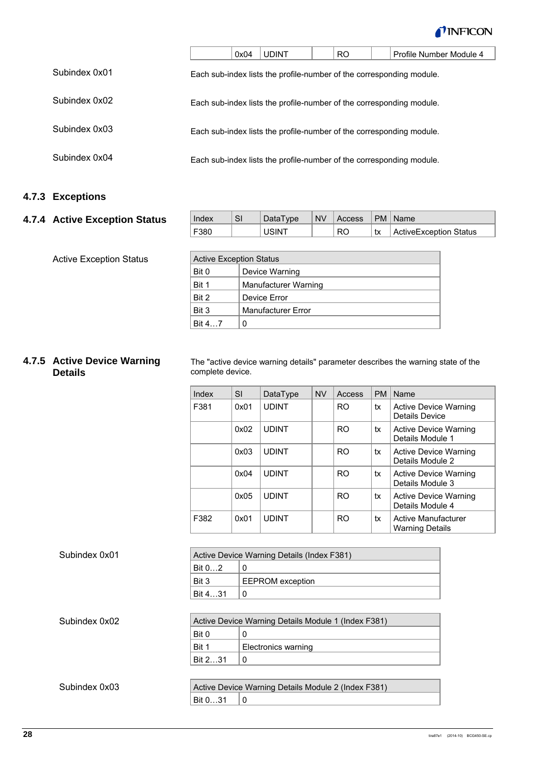

|               | 0x04 | <b>UDINT</b>                                                         | <b>RO</b> | Profile Number Module 4 |
|---------------|------|----------------------------------------------------------------------|-----------|-------------------------|
| Subindex 0x01 |      | Each sub-index lists the profile-number of the corresponding module. |           |                         |
| Subindex 0x02 |      | Each sub-index lists the profile-number of the corresponding module. |           |                         |
| Subindex 0x03 |      | Each sub-index lists the profile-number of the corresponding module. |           |                         |
| Subindex 0x04 |      | Each sub-index lists the profile-number of the corresponding module. |           |                         |

## **4.7.3 Exceptions**

### **4.7.4 Active Exception Status**

Active Exception Status

| Index | SI | DataType     | <b>NV</b> | Access |    | PM   Name              |
|-------|----|--------------|-----------|--------|----|------------------------|
| F380  |    | <b>USINT</b> |           | RO     | tx | ActiveException Status |
|       |    |              |           |        |    |                        |

| <b>Active Exception Status</b> |                           |  |  |  |  |
|--------------------------------|---------------------------|--|--|--|--|
| Bit 0                          | Device Warning            |  |  |  |  |
| Bit 1                          | Manufacturer Warning      |  |  |  |  |
| Bit 2                          | Device Error              |  |  |  |  |
| Bit 3                          | <b>Manufacturer Error</b> |  |  |  |  |
| Bit 47                         | 0                         |  |  |  |  |

### **4.7.5 Active Device Warning Details**

The "active device warning details" parameter describes the warning state of the complete device.

| Index | SI   | DataType     | <b>NV</b> | Access         | <b>PM</b> | Name                                                 |
|-------|------|--------------|-----------|----------------|-----------|------------------------------------------------------|
| F381  | 0x01 | <b>UDINT</b> |           | R <sub>O</sub> | tx        | Active Device Warning<br>Details Device              |
|       | 0x02 | <b>UDINT</b> |           | R <sub>O</sub> | tx        | <b>Active Device Warning</b><br>Details Module 1     |
|       | 0x03 | <b>UDINT</b> |           | R <sub>O</sub> | tx        | Active Device Warning<br>Details Module 2            |
|       | 0x04 | <b>UDINT</b> |           | R <sub>O</sub> | tx        | Active Device Warning<br>Details Module 3            |
|       | 0x05 | <b>UDINT</b> |           | R <sub>O</sub> | tx        | Active Device Warning<br>Details Module 4            |
| F382  | 0x01 | <b>UDINT</b> |           | <b>RO</b>      | tx        | <b>Active Manufacturer</b><br><b>Warning Details</b> |

| Subindex 0x01 |                                                     | Active Device Warning Details (Index F381)          |  |  |  |
|---------------|-----------------------------------------------------|-----------------------------------------------------|--|--|--|
|               | Bit $02$                                            | 0                                                   |  |  |  |
|               | Bit 3                                               | <b>EEPROM</b> exception                             |  |  |  |
|               | Bit 431                                             | 0                                                   |  |  |  |
|               |                                                     |                                                     |  |  |  |
| Subindex 0x02 | Active Device Warning Details Module 1 (Index F381) |                                                     |  |  |  |
|               | Bit 0                                               | 0                                                   |  |  |  |
|               | Bit 1                                               | Electronics warning                                 |  |  |  |
|               | Bit 231                                             | 0                                                   |  |  |  |
|               |                                                     |                                                     |  |  |  |
| Subindex 0x03 |                                                     | Active Device Warning Details Module 2 (Index F381) |  |  |  |
|               | Bit 031                                             | 0                                                   |  |  |  |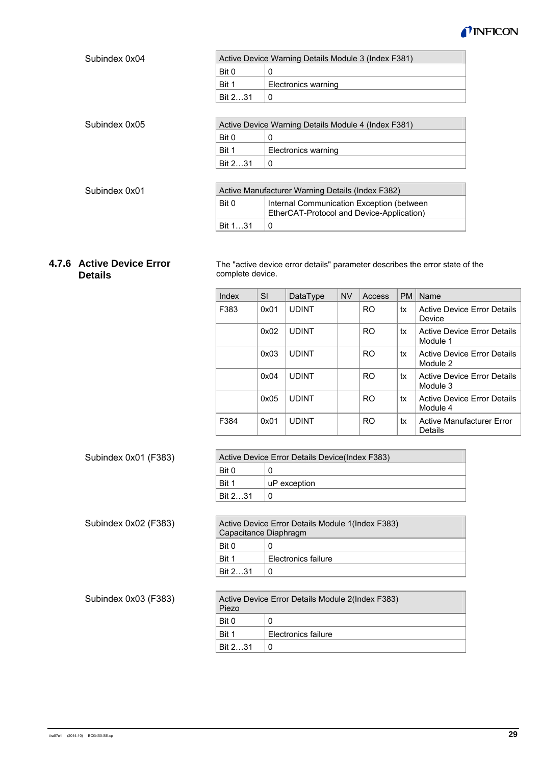

| Subindex 0x04 |                                                     | Active Device Warning Details Module 3 (Index F381)                                    |  |  |  |
|---------------|-----------------------------------------------------|----------------------------------------------------------------------------------------|--|--|--|
|               | Bit 0                                               | 0                                                                                      |  |  |  |
|               | Bit 1                                               | Electronics warning                                                                    |  |  |  |
|               | Bit 231                                             | 0                                                                                      |  |  |  |
|               |                                                     |                                                                                        |  |  |  |
| Subindex 0x05 | Active Device Warning Details Module 4 (Index F381) |                                                                                        |  |  |  |
|               | Bit 0                                               | 0                                                                                      |  |  |  |
|               | Bit 1                                               | Electronics warning                                                                    |  |  |  |
|               | Bit 231                                             | 0                                                                                      |  |  |  |
|               |                                                     |                                                                                        |  |  |  |
| Subindex 0x01 | Active Manufacturer Warning Details (Index F382)    |                                                                                        |  |  |  |
|               | Bit 0                                               | Internal Communication Exception (between<br>EtherCAT-Protocol and Device-Application) |  |  |  |
|               | Bit 131                                             | $\mathbf{0}$                                                                           |  |  |  |

### **4.7.6 Active Device Error Details**

The "active device error details" parameter describes the error state of the complete device.

| Index | SI   | DataType     | <b>NV</b> | Access         | <b>PM</b> | Name                                           |
|-------|------|--------------|-----------|----------------|-----------|------------------------------------------------|
| F383  | 0x01 | <b>UDINT</b> |           | R <sub>O</sub> | tx        | <b>Active Device Error Details</b><br>Device   |
|       | 0x02 | <b>UDINT</b> |           | <b>RO</b>      | tx        | <b>Active Device Error Details</b><br>Module 1 |
|       | 0x03 | <b>UDINT</b> |           | <b>RO</b>      | tx        | Active Device Error Details<br>Module 2        |
|       | 0x04 | <b>UDINT</b> |           | <b>RO</b>      | tx        | <b>Active Device Error Details</b><br>Module 3 |
|       | 0x05 | <b>UDINT</b> |           | <b>RO</b>      | tx        | Active Device Error Details<br>Module 4        |
| F384  | 0x01 | <b>UDINT</b> |           | R <sub>O</sub> | tx        | <b>Active Manufacturer Error</b><br>Details    |

| Subindex 0x01 (F383) | Active Device Error Details Device(Index F383) |                                                  |  |  |  |  |
|----------------------|------------------------------------------------|--------------------------------------------------|--|--|--|--|
|                      | Bit 0                                          | 0                                                |  |  |  |  |
|                      | Bit 1                                          | uP exception                                     |  |  |  |  |
|                      | Bit 231                                        | 0                                                |  |  |  |  |
|                      |                                                |                                                  |  |  |  |  |
| Subindex 0x02 (F383) | Capacitance Diaphragm                          | Active Device Error Details Module 1(Index F383) |  |  |  |  |
|                      | Bit 0                                          | 0                                                |  |  |  |  |
|                      | Bit 1                                          | Electronics failure                              |  |  |  |  |
|                      | Bit 231                                        | 0                                                |  |  |  |  |
|                      |                                                |                                                  |  |  |  |  |
| Subindex 0x03 (F383) | Piezo                                          | Active Device Error Details Module 2(Index F383) |  |  |  |  |
|                      | Bit 0                                          | 0                                                |  |  |  |  |
|                      | Bit 1                                          | Electronics failure                              |  |  |  |  |
|                      | Bit 231                                        | 0                                                |  |  |  |  |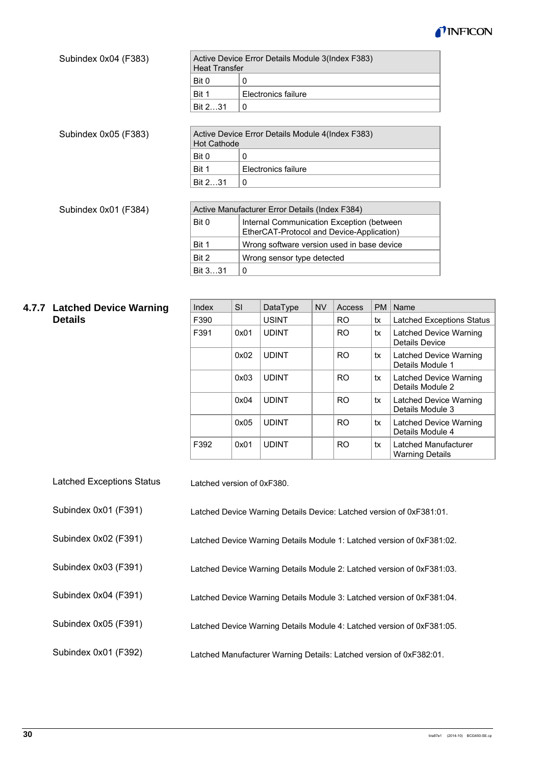

| Subindex 0x04 (F383) | <b>Heat Transfer</b>                           | Active Device Error Details Module 3(Index F383)                                       |  |  |  |
|----------------------|------------------------------------------------|----------------------------------------------------------------------------------------|--|--|--|
|                      | Bit 0                                          | 0                                                                                      |  |  |  |
|                      | Bit 1                                          | Electronics failure                                                                    |  |  |  |
|                      | Bit 231                                        | 0                                                                                      |  |  |  |
|                      |                                                |                                                                                        |  |  |  |
| Subindex 0x05 (F383) | <b>Hot Cathode</b>                             | Active Device Error Details Module 4(Index F383)                                       |  |  |  |
|                      | Bit 0                                          | 0                                                                                      |  |  |  |
|                      | Bit 1                                          | Electronics failure                                                                    |  |  |  |
|                      | Bit 231                                        | 0                                                                                      |  |  |  |
|                      |                                                |                                                                                        |  |  |  |
| Subindex 0x01 (F384) | Active Manufacturer Error Details (Index F384) |                                                                                        |  |  |  |
|                      | Bit 0                                          | Internal Communication Exception (between<br>EtherCAT-Protocol and Device-Application) |  |  |  |
|                      | Bit 1                                          | Wrong software version used in base device                                             |  |  |  |
|                      | Bit 2                                          | Wrong sensor type detected                                                             |  |  |  |
|                      | Bit 331                                        | $\Omega$                                                                               |  |  |  |
|                      |                                                |                                                                                        |  |  |  |

### **4.7.7 Latched Device Warning Details**

| Index | SI   | DataType     | <b>NV</b> | Access         | <b>PM</b> | Name                                           |
|-------|------|--------------|-----------|----------------|-----------|------------------------------------------------|
| F390  |      | <b>USINT</b> |           | RO             | tx        | <b>Latched Exceptions Status</b>               |
| F391  | 0x01 | <b>UDINT</b> |           | R <sub>O</sub> | tx        | Latched Device Warning<br>Details Device       |
|       | 0x02 | <b>UDINT</b> |           | R <sub>O</sub> | tx        | Latched Device Warning<br>Details Module 1     |
|       | 0x03 | <b>UDINT</b> |           | R <sub>O</sub> | tx        | Latched Device Warning<br>Details Module 2     |
|       | 0x04 | <b>UDINT</b> |           | R <sub>O</sub> | tx        | Latched Device Warning<br>Details Module 3     |
|       | 0x05 | <b>UDINT</b> |           | R <sub>O</sub> | tx        | Latched Device Warning<br>Details Module 4     |
| F392  | 0x01 | <b>UDINT</b> |           | R <sub>O</sub> | tx        | Latched Manufacturer<br><b>Warning Details</b> |

| <b>Latched Exceptions Status</b> | Latched version of 0xF380.                                             |
|----------------------------------|------------------------------------------------------------------------|
| Subindex 0x01 (F391)             | Latched Device Warning Details Device: Latched version of 0xF381:01.   |
| Subindex 0x02 (F391)             | Latched Device Warning Details Module 1: Latched version of 0xF381:02. |
| Subindex 0x03 (F391)             | Latched Device Warning Details Module 2: Latched version of 0xF381:03. |
| Subindex 0x04 (F391)             | Latched Device Warning Details Module 3: Latched version of 0xF381:04. |
| Subindex 0x05 (F391)             | Latched Device Warning Details Module 4: Latched version of 0xF381:05. |
| Subindex 0x01 (F392)             | Latched Manufacturer Warning Details: Latched version of 0xF382:01.    |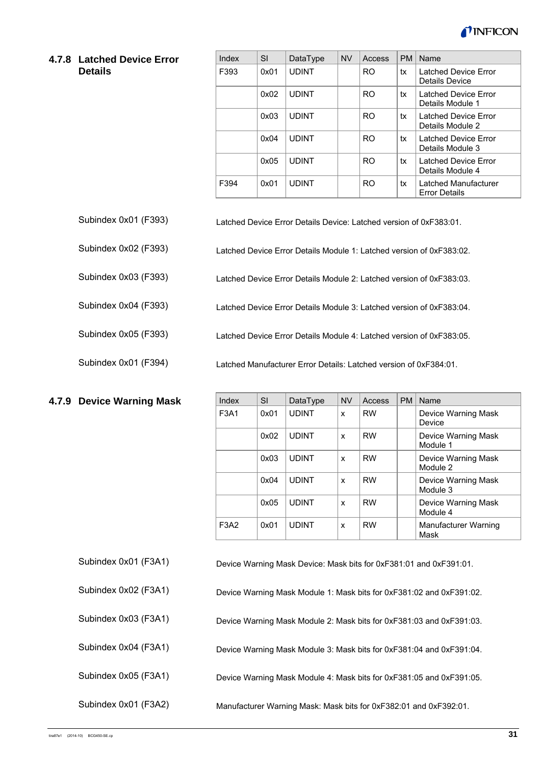

#### **4.7.8 Latched Device Error Details**

Subindex 0x02 (F393)

Subindex 0x04 (F393)

Subindex 0x05 (F393)

Subindex 0x01 (F394)

**4.7.9 Device Warning Mask** 

| Index | SI   | DataType     | <b>NV</b> | Access         | <b>PM</b> | Name                                         |
|-------|------|--------------|-----------|----------------|-----------|----------------------------------------------|
| F393  | 0x01 | <b>UDINT</b> |           | R <sub>O</sub> | tx        | Latched Device Error<br>Details Device       |
|       | 0x02 | <b>UDINT</b> |           | <b>RO</b>      | tx        | Latched Device Error<br>Details Module 1     |
|       | 0x03 | <b>UDINT</b> |           | <b>RO</b>      | tx        | Latched Device Error<br>Details Module 2     |
|       | 0x04 | <b>UDINT</b> |           | <b>RO</b>      | tx        | Latched Device Error<br>Details Module 3     |
|       | 0x05 | <b>UDINT</b> |           | <b>RO</b>      | tx        | Latched Device Error<br>Details Module 4     |
| F394  | 0x01 | <b>UDINT</b> |           | R <sub>O</sub> | tx        | Latched Manufacturer<br><b>Error Details</b> |

Latched Device Error Details Device: Latched version of 0xF383:01. Subindex 0x01 (F393)

Latched Device Error Details Module 1: Latched version of 0xF383:02.

Latched Device Error Details Module 2: Latched version of 0xF383:03. Subindex 0x03 (F393)

Latched Device Error Details Module 3: Latched version of 0xF383:04.

Latched Device Error Details Module 4: Latched version of 0xF383:05.

Latched Manufacturer Error Details: Latched version of 0xF384:01.

| Index | <b>SI</b> | DataType     | <b>NV</b> | Access    | <b>PM</b> | Name                            |
|-------|-----------|--------------|-----------|-----------|-----------|---------------------------------|
| F3A1  | 0x01      | <b>UDINT</b> | X         | <b>RW</b> |           | Device Warning Mask<br>Device   |
|       | 0x02      | <b>UDINT</b> | x         | <b>RW</b> |           | Device Warning Mask<br>Module 1 |
|       | 0x03      | <b>UDINT</b> | X         | <b>RW</b> |           | Device Warning Mask<br>Module 2 |
|       | 0x04      | <b>UDINT</b> | X         | <b>RW</b> |           | Device Warning Mask<br>Module 3 |
|       | 0x05      | <b>UDINT</b> | X         | <b>RW</b> |           | Device Warning Mask<br>Module 4 |
| F3A2  | 0x01      | <b>UDINT</b> | x         | <b>RW</b> |           | Manufacturer Warning<br>Mask    |

| Subindex 0x01 (F3A1) | Device Warning Mask Device: Mask bits for 0xF381:01 and 0xF391:01. |
|----------------------|--------------------------------------------------------------------|
|----------------------|--------------------------------------------------------------------|

| Subindex 0x02 (F3A1) | Device Warning Mask Module 1: Mask bits for 0xF381:02 and 0xF391:02. |
|----------------------|----------------------------------------------------------------------|
| Subindex 0x03 (F3A1) | Device Warning Mask Module 2: Mask bits for 0xF381:03 and 0xF391:03. |
| Subindex 0x04 (F3A1) | Device Warning Mask Module 3: Mask bits for 0xF381:04 and 0xF391:04. |
| Subindex 0x05 (F3A1) | Device Warning Mask Module 4: Mask bits for 0xF381:05 and 0xF391:05. |
| Subindex 0x01 (F3A2) | Manufacturer Warning Mask: Mask bits for 0xF382:01 and 0xF392:01.    |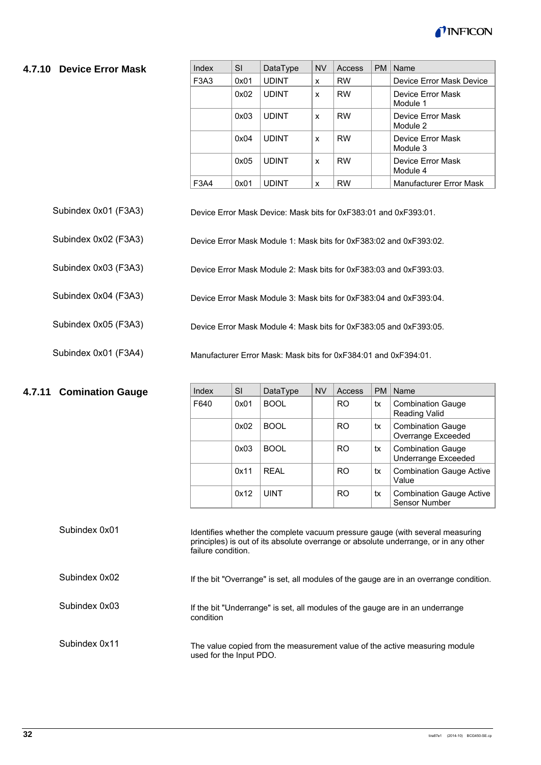

#### **4.7.10 Device Error Mask**

| Index                         | SI   | DataType     | <b>NV</b> | Access    | <b>PM</b> | Name                          |
|-------------------------------|------|--------------|-----------|-----------|-----------|-------------------------------|
| F <sub>3</sub> A <sub>3</sub> | 0x01 | <b>UDINT</b> | X         | <b>RW</b> |           | Device Error Mask Device      |
|                               | 0x02 | <b>UDINT</b> | X         | <b>RW</b> |           | Device Error Mask<br>Module 1 |
|                               | 0x03 | <b>UDINT</b> | X         | <b>RW</b> |           | Device Error Mask<br>Module 2 |
|                               | 0x04 | <b>UDINT</b> | X         | <b>RW</b> |           | Device Error Mask<br>Module 3 |
|                               | 0x05 | <b>UDINT</b> | X         | <b>RW</b> |           | Device Error Mask<br>Module 4 |
| F3A4                          | 0x01 | <b>UDINT</b> | x         | <b>RW</b> |           | Manufacturer Error Mask       |

- Device Error Mask Device: Mask bits for 0xF383:01 and 0xF393:01. Subindex 0x01 (F3A3)
- Device Error Mask Module 1: Mask bits for 0xF383:02 and 0xF393:02. Subindex 0x02 (F3A3)
- Device Error Mask Module 2: Mask bits for 0xF383:03 and 0xF393:03. Subindex 0x03 (F3A3)
- Device Error Mask Module 3: Mask bits for 0xF383:04 and 0xF393:04. Subindex 0x04 (F3A3)
- Device Error Mask Module 4: Mask bits for 0xF383:05 and 0xF393:05. Subindex 0x05 (F3A3)
- Manufacturer Error Mask: Mask bits for 0xF384:01 and 0xF394:01. Subindex 0x01 (F3A4)

#### **4.7.11 Comination Gauge**

| Index | SI   | DataType    | <b>NV</b> | Access         | <b>PM</b> | <b>Name</b>                                             |
|-------|------|-------------|-----------|----------------|-----------|---------------------------------------------------------|
| F640  | 0x01 | <b>BOOL</b> |           | RO.            | tx        | <b>Combination Gauge</b><br><b>Reading Valid</b>        |
|       | 0x02 | <b>BOOL</b> |           | R <sub>O</sub> | tx        | <b>Combination Gauge</b><br>Overrange Exceeded          |
|       | 0x03 | <b>BOOL</b> |           | RO.            | tx        | <b>Combination Gauge</b><br><b>Underrange Exceeded</b>  |
|       | 0x11 | RFAI        |           | R <sub>O</sub> | tx        | <b>Combination Gauge Active</b><br>Value                |
|       | 0x12 | <b>UINT</b> |           | RO             | tx        | <b>Combination Gauge Active</b><br><b>Sensor Number</b> |

| Subindex 0x01 | Identifies whether the complete vacuum pressure gauge (with several measuring<br>principles) is out of its absolute overrange or absolute underrange, or in any other<br>failure condition. |
|---------------|---------------------------------------------------------------------------------------------------------------------------------------------------------------------------------------------|
| Subindex 0x02 | If the bit "Overrange" is set, all modules of the gauge are in an overrange condition.                                                                                                      |
| Subindex 0x03 | If the bit "Underrange" is set, all modules of the gauge are in an underrange<br>condition                                                                                                  |
| Subindex 0x11 | The value copied from the measurement value of the active measuring module<br>used for the Input PDO.                                                                                       |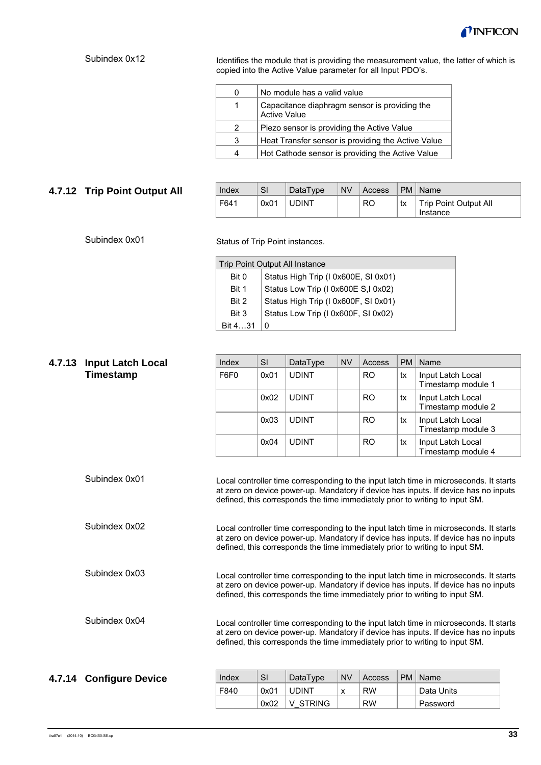

### Subindex 0x12

Identifies the module that is providing the measurement value, the latter of which is copied into the Active Value parameter for all Input PDO's.

| 0 | No module has a valid value                                          |
|---|----------------------------------------------------------------------|
| 1 | Capacitance diaphragm sensor is providing the<br><b>Active Value</b> |
| 2 | Piezo sensor is providing the Active Value                           |
| 3 | Heat Transfer sensor is providing the Active Value                   |
| 4 | Hot Cathode sensor is providing the Active Value                     |

### **4.7.12 Trip Point Output All**

| Index | SI   | DataType     | <b>NV</b> | Access         | <b>PM</b> | Name                              |
|-------|------|--------------|-----------|----------------|-----------|-----------------------------------|
| F641  | 0x01 | <b>UDINT</b> |           | R <sub>O</sub> | tx        | Trip Point Output All<br>Instance |

#### Subindex 0x01

Status of Trip Point instances.

| Trip Point Output All Instance |                                      |  |  |  |  |
|--------------------------------|--------------------------------------|--|--|--|--|
| Bit 0                          | Status High Trip (I 0x600E, SI 0x01) |  |  |  |  |
| Bit 1                          | Status Low Trip (I 0x600E S,I 0x02)  |  |  |  |  |
| Bit 2                          | Status High Trip (I 0x600F, SI 0x01) |  |  |  |  |
| Bit 3                          | Status Low Trip (I 0x600F, SI 0x02)  |  |  |  |  |
| Bit 431                        |                                      |  |  |  |  |

| 4.7.13 | <b>Input Latch Local</b> | Index                                                                                                                                                                                                                                                         | <b>SI</b> | DataType     | <b>NV</b>   | Access    | <b>PM</b>      | Name                                    |  |
|--------|--------------------------|---------------------------------------------------------------------------------------------------------------------------------------------------------------------------------------------------------------------------------------------------------------|-----------|--------------|-------------|-----------|----------------|-----------------------------------------|--|
|        | Timestamp                | F6F0                                                                                                                                                                                                                                                          | 0x01      | <b>UDINT</b> |             | <b>RO</b> | tx             | Input Latch Local<br>Timestamp module 1 |  |
|        |                          |                                                                                                                                                                                                                                                               | 0x02      | <b>UDINT</b> |             | <b>RO</b> | tx             | Input Latch Local<br>Timestamp module 2 |  |
|        |                          |                                                                                                                                                                                                                                                               | 0x03      | <b>UDINT</b> |             | <b>RO</b> | tx             | Input Latch Local<br>Timestamp module 3 |  |
|        |                          |                                                                                                                                                                                                                                                               | 0x04      | <b>UDINT</b> |             | <b>RO</b> | tx             | Input Latch Local<br>Timestamp module 4 |  |
|        | Subindex 0x01            | Local controller time corresponding to the input latch time in microseconds. It starts<br>at zero on device power-up. Mandatory if device has inputs. If device has no inputs<br>defined, this corresponds the time immediately prior to writing to input SM. |           |              |             |           |                |                                         |  |
|        | Subindex 0x02            | Local controller time corresponding to the input latch time in microseconds. It starts<br>at zero on device power-up. Mandatory if device has inputs. If device has no inputs<br>defined, this corresponds the time immediately prior to writing to input SM. |           |              |             |           |                |                                         |  |
|        | Subindex 0x03            | Local controller time corresponding to the input latch time in microseconds. It starts<br>at zero on device power-up. Mandatory if device has inputs. If device has no inputs<br>defined, this corresponds the time immediately prior to writing to input SM. |           |              |             |           |                |                                         |  |
|        | Subindex 0x04            | Local controller time corresponding to the input latch time in microseconds. It starts<br>at zero on device power-up. Mandatory if device has inputs. If device has no inputs<br>defined, this corresponds the time immediately prior to writing to input SM. |           |              |             |           |                |                                         |  |
|        |                          | Local and                                                                                                                                                                                                                                                     | $\sim$    | $D - L - T$  | <b>ABLE</b> |           | D <sub>N</sub> | $\mathbf{A}$                            |  |

#### Index SI DataType NV Access PM Name F840  $\vert$  0x01 UDINT  $\vert$  x  $\vert$  RW  $\vert$  Data Units 0x02 V\_STRING RW Password **4.7.14 Configure Device**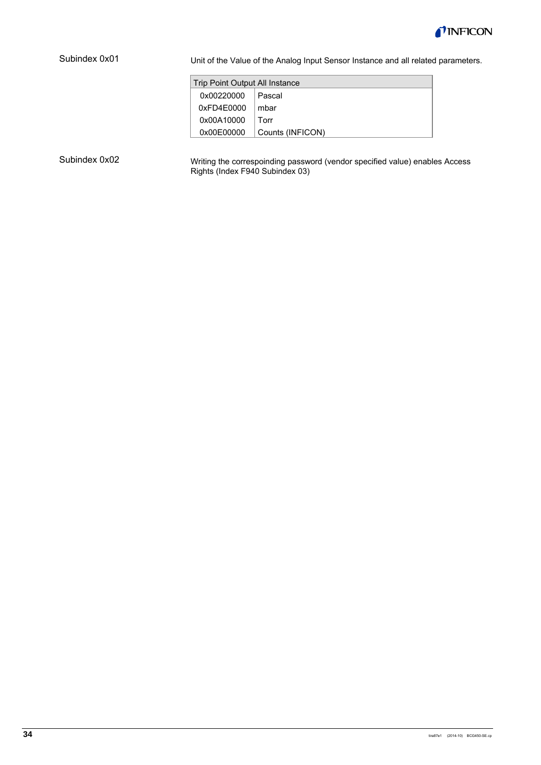

#### Subindex 0x01

Unit of the Value of the Analog Input Sensor Instance and all related parameters.

| Trip Point Output All Instance |                  |  |  |  |  |  |
|--------------------------------|------------------|--|--|--|--|--|
| 0x00220000                     | Pascal           |  |  |  |  |  |
| 0xFD4E0000                     | mbar             |  |  |  |  |  |
| 0x00A10000                     | Torr             |  |  |  |  |  |
| 0x00E00000                     | Counts (INFICON) |  |  |  |  |  |

#### Subindex 0x02

Writing the correspoinding password (vendor specified value) enables Access Rights (Index F940 Subindex 03)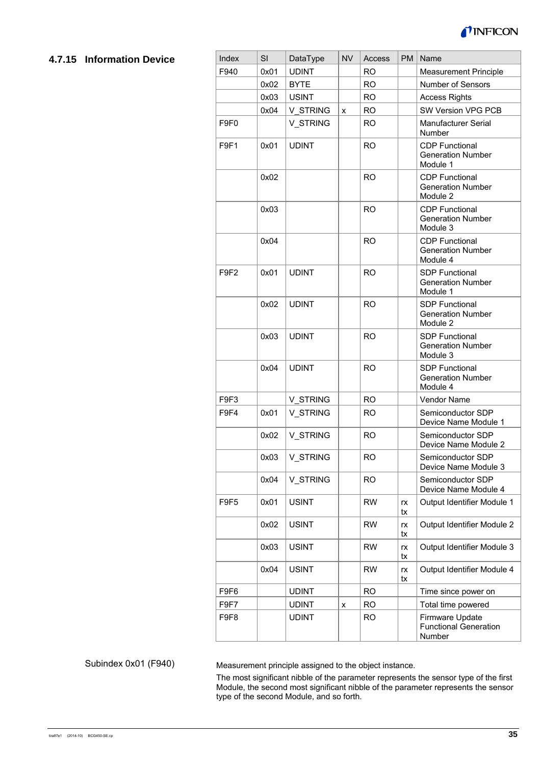

### **4.7.15 Information Device**

| Index            | SI   | DataType     | <b>NV</b> | Access    | <b>PM</b> | Name                                                          |
|------------------|------|--------------|-----------|-----------|-----------|---------------------------------------------------------------|
| F940             | 0x01 | <b>UDINT</b> |           | <b>RO</b> |           | <b>Measurement Principle</b>                                  |
|                  | 0x02 | <b>BYTE</b>  |           | <b>RO</b> |           | Number of Sensors                                             |
|                  | 0x03 | <b>USINT</b> |           | <b>RO</b> |           | <b>Access Rights</b>                                          |
|                  | 0x04 | V STRING     | x         | <b>RO</b> |           | SW Version VPG PCB                                            |
| F9F0             |      | V STRING     |           | <b>RO</b> |           | Manufacturer Serial<br>Number                                 |
| F9F1             | 0x01 | <b>UDINT</b> |           | <b>RO</b> |           | <b>CDP Functional</b><br><b>Generation Number</b><br>Module 1 |
|                  | 0x02 |              |           | <b>RO</b> |           | <b>CDP Functional</b><br><b>Generation Number</b><br>Module 2 |
|                  | 0x03 |              |           | <b>RO</b> |           | <b>CDP Functional</b><br><b>Generation Number</b><br>Module 3 |
|                  | 0x04 |              |           | <b>RO</b> |           | <b>CDP Functional</b><br><b>Generation Number</b><br>Module 4 |
| F9F <sub>2</sub> | 0x01 | <b>UDINT</b> |           | <b>RO</b> |           | <b>SDP Functional</b><br><b>Generation Number</b><br>Module 1 |
|                  | 0x02 | <b>UDINT</b> |           | <b>RO</b> |           | <b>SDP Functional</b><br><b>Generation Number</b><br>Module 2 |
|                  | 0x03 | <b>UDINT</b> |           | <b>RO</b> |           | <b>SDP Functional</b><br><b>Generation Number</b><br>Module 3 |
|                  | 0x04 | <b>UDINT</b> |           | <b>RO</b> |           | <b>SDP Functional</b><br><b>Generation Number</b><br>Module 4 |
| F9F3             |      | V STRING     |           | <b>RO</b> |           | Vendor Name                                                   |
| F9F4             | 0x01 | V STRING     |           | <b>RO</b> |           | Semiconductor SDP<br>Device Name Module 1                     |
|                  | 0x02 | V STRING     |           | <b>RO</b> |           | Semiconductor SDP<br>Device Name Module 2                     |
|                  | 0x03 | V_STRING     |           | <b>RO</b> |           | Semiconductor SDP<br>Device Name Module 3                     |
|                  | 0x04 | V STRING     |           | <b>RO</b> |           | Semiconductor SDP<br>Device Name Module 4                     |
| F9F5             | 0x01 | <b>USINT</b> |           | <b>RW</b> | rx<br>tx  | Output Identifier Module 1                                    |
|                  | 0x02 | <b>USINT</b> |           | <b>RW</b> | rx<br>tx  | Output Identifier Module 2                                    |
|                  | 0x03 | <b>USINT</b> |           | <b>RW</b> | rx<br>tx  | Output Identifier Module 3                                    |
|                  | 0x04 | <b>USINT</b> |           | <b>RW</b> | rx<br>tx  | Output Identifier Module 4                                    |
| F9F6             |      | <b>UDINT</b> |           | <b>RO</b> |           | Time since power on                                           |
| F9F7             |      | <b>UDINT</b> | x         | <b>RO</b> |           | Total time powered                                            |
| F9F8             |      | <b>UDINT</b> |           | <b>RO</b> |           | Firmware Update<br><b>Functional Generation</b><br>Number     |

#### Subindex 0x01 (F940)

Measurement principle assigned to the object instance.

The most significant nibble of the parameter represents the sensor type of the first Module, the second most significant nibble of the parameter represents the sensor type of the second Module, and so forth.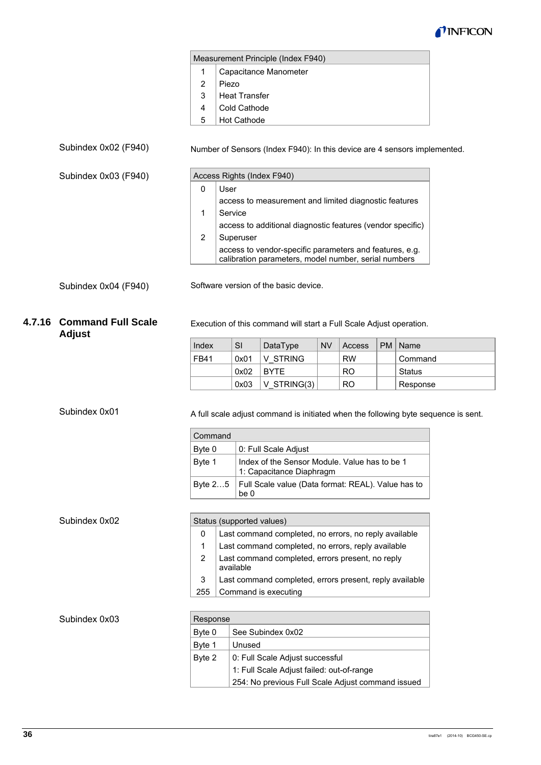

|   | Measurement Principle (Index F940) |  |  |  |  |  |
|---|------------------------------------|--|--|--|--|--|
|   | Capacitance Manometer              |  |  |  |  |  |
| 2 | Piezo                              |  |  |  |  |  |
| 3 | <b>Heat Transfer</b>               |  |  |  |  |  |
| 4 | Cold Cathode                       |  |  |  |  |  |
| 5 | <b>Hot Cathode</b>                 |  |  |  |  |  |

### Subindex 0x02 (F940)

Subindex 0x03 (F940)

#### Number of Sensors (Index F940): In this device are 4 sensors implemented.

|   | Access Rights (Index F940)                                                                                      |
|---|-----------------------------------------------------------------------------------------------------------------|
| 0 | User                                                                                                            |
|   | access to measurement and limited diagnostic features                                                           |
|   | Service                                                                                                         |
|   | access to additional diagnostic features (vendor specific)                                                      |
|   | Superuser                                                                                                       |
|   | access to vendor-specific parameters and features, e.g.<br>calibration parameters, model number, serial numbers |

Subindex 0x04 (F940)

Software version of the basic device.

### **4.7.16 Command Full Scale Adjust**

Execution of this command will start a Full Scale Adjust operation.

| Index       | SI   | DataType      | <b>NV</b> | Access         | PM   Name |
|-------------|------|---------------|-----------|----------------|-----------|
| <b>FB41</b> | 0x01 | V STRING      |           | <b>RW</b>      | Command   |
|             | 0x02 | <b>BYTE</b>   |           | RO.            | Status    |
|             | 0x03 | $V$ STRING(3) |           | R <sub>O</sub> | Response  |

Subindex 0x01

A full scale adjust command is initiated when the following byte sequence is sent.

| Command |                                                                           |
|---------|---------------------------------------------------------------------------|
| Byte 0  | 0: Full Scale Adjust                                                      |
| Byte 1  | Index of the Sensor Module. Value has to be 1<br>1: Capacitance Diaphragm |
| Byte 25 | Full Scale value (Data format: REAL). Value has to<br>be 0                |

| Status (supported values) |                                                               |  |  |  |
|---------------------------|---------------------------------------------------------------|--|--|--|
| 0                         | Last command completed, no errors, no reply available         |  |  |  |
| 1                         | Last command completed, no errors, reply available            |  |  |  |
| 2                         | Last command completed, errors present, no reply<br>available |  |  |  |
| 3                         | Last command completed, errors present, reply available       |  |  |  |
| 255                       | Command is executing                                          |  |  |  |
|                           |                                                               |  |  |  |

#### Subindex 0x03

| Response |                                                   |  |  |  |  |
|----------|---------------------------------------------------|--|--|--|--|
| Byte 0   | See Subindex 0x02                                 |  |  |  |  |
| Byte 1   | Unused                                            |  |  |  |  |
| Byte 2   | 0: Full Scale Adjust successful                   |  |  |  |  |
|          | 1: Full Scale Adjust failed: out-of-range         |  |  |  |  |
|          | 254: No previous Full Scale Adjust command issued |  |  |  |  |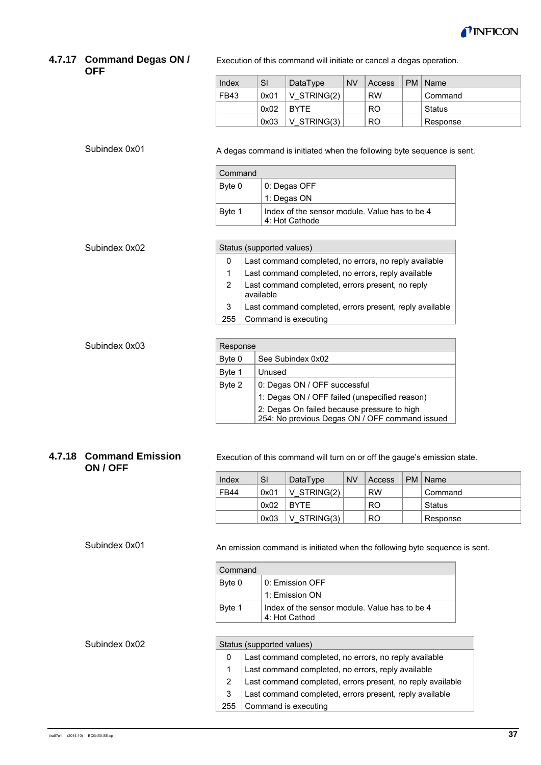

#### **4.7.17 Command Degas ON / OFF**

Execution of this command will initiate or cancel a degas operation.

| Index | SI   | DataType      | <b>NV</b> | Access    | PM   Name |
|-------|------|---------------|-----------|-----------|-----------|
| FB43  | 0x01 | $V$ STRING(2) |           | <b>RW</b> | Command   |
|       | 0x02 | <b>BYTE</b>   |           | RO.       | ˈ Status  |
|       | 0x03 | $V$ STRING(3) |           | RO.       | Response  |

Subindex 0x01

Subindex 0x02

Subindex 0x03

A degas command is initiated when the following byte sequence is sent.

| Command |                                                                 |
|---------|-----------------------------------------------------------------|
| Byte 0  | 0: Degas OFF                                                    |
|         | 1: Degas ON                                                     |
| Byte 1  | Index of the sensor module. Value has to be 4<br>4: Hot Cathode |

| Status (supported values) |                                                               |  |  |  |
|---------------------------|---------------------------------------------------------------|--|--|--|
| 0                         | Last command completed, no errors, no reply available         |  |  |  |
|                           | Last command completed, no errors, reply available            |  |  |  |
|                           | Last command completed, errors present, no reply<br>available |  |  |  |
| 3                         | Last command completed, errors present, reply available       |  |  |  |
| 255                       | Command is executing                                          |  |  |  |

| Response |                                                                                               |  |  |  |  |
|----------|-----------------------------------------------------------------------------------------------|--|--|--|--|
| Byte 0   | See Subindex 0x02                                                                             |  |  |  |  |
| Byte 1   | Unused                                                                                        |  |  |  |  |
| Byte 2   | 0: Degas ON / OFF successful                                                                  |  |  |  |  |
|          | 1: Degas ON / OFF failed (unspecified reason)                                                 |  |  |  |  |
|          | 2: Degas On failed because pressure to high<br>254: No previous Degas ON / OFF command issued |  |  |  |  |
|          |                                                                                               |  |  |  |  |

### **4.7.18 Command Emission ON / OFF**

Execution of this command will turn on or off the gauge's emission state.

| Index       | SI   | DataType       | <b>NV</b> | Access         | PM   Name |
|-------------|------|----------------|-----------|----------------|-----------|
| <b>FB44</b> | 0x01 | $V$ STRING(2)  |           | <b>RW</b>      | Command   |
|             | 0x02 | <b>BYTE</b>    |           | <b>RO</b>      | Status    |
|             | 0x03 | $ V$ STRING(3) |           | R <sub>O</sub> | Response  |

Subindex 0x01

An emission command is initiated when the following byte sequence is sent.

| Command |                                                                |
|---------|----------------------------------------------------------------|
| Byte 0  | 0: Emission OFF                                                |
|         | 1: Emission ON                                                 |
| Byte 1  | Index of the sensor module. Value has to be 4<br>4: Hot Cathod |

#### Subindex 0x02

| Status (supported values) |                                                            |  |  |  |
|---------------------------|------------------------------------------------------------|--|--|--|
| 0                         | Last command completed, no errors, no reply available      |  |  |  |
|                           | Last command completed, no errors, reply available         |  |  |  |
| 2                         | Last command completed, errors present, no reply available |  |  |  |
| 3                         | Last command completed, errors present, reply available    |  |  |  |
| 255                       | Command is executing                                       |  |  |  |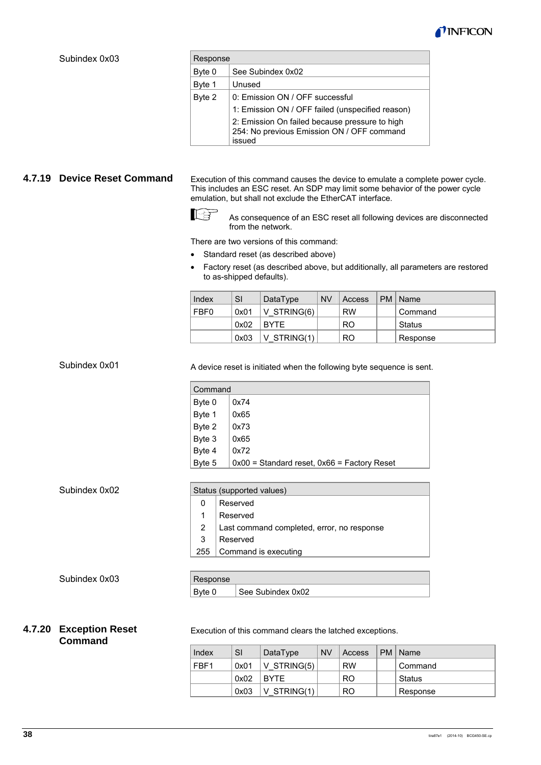

#### Subindex 0x03

| Response |                                                                                                        |  |  |  |
|----------|--------------------------------------------------------------------------------------------------------|--|--|--|
| Byte 0   | See Subindex 0x02                                                                                      |  |  |  |
| Byte 1   | Unused                                                                                                 |  |  |  |
| Byte 2   | 0: Emission ON / OFF successful                                                                        |  |  |  |
|          | 1: Emission ON / OFF failed (unspecified reason)                                                       |  |  |  |
|          | 2: Emission On failed because pressure to high<br>254: No previous Emission ON / OFF command<br>issued |  |  |  |

### **4.7.19 Device Reset Command**

Execution of this command causes the device to emulate a complete power cycle. This includes an ESC reset. An SDP may limit some behavior of the power cycle emulation, but shall not exclude the EtherCAT interface.



 As consequence of an ESC reset all following devices are disconnected from the network.

There are two versions of this command:

- Standard reset (as described above)
- Factory reset (as described above, but additionally, all parameters are restored to as-shipped defaults).

| Index | SI   | DataType    | <b>NV</b> | Access    | PM   Name |
|-------|------|-------------|-----------|-----------|-----------|
| FBF0  | 0x01 | V STRING(6) |           | <b>RW</b> | Command   |
|       | 0x02 | <b>BYTE</b> |           | RO        | Status    |
|       | 0x03 | V STRING(1) |           | RO        | Response  |

Subindex 0x01

A device reset is initiated when the following byte sequence is sent.

| Command |                                                 |  |  |  |  |
|---------|-------------------------------------------------|--|--|--|--|
| Byte 0  | 0x74                                            |  |  |  |  |
| Byte 1  | 0x65                                            |  |  |  |  |
| Byte 2  | 0x73                                            |  |  |  |  |
| Byte 3  | 0x65                                            |  |  |  |  |
| Byte 4  | 0x72                                            |  |  |  |  |
| Byte 5  | $0x00$ = Standard reset, $0x66$ = Factory Reset |  |  |  |  |

Subindex 0x02

#### Status (supported values)

- 0 Reserved
- 1 Reserved
- 2 Last command completed, error, no response
- 3 Reserved
- 255 Command is executing

Subindex 0x03

# Response

Byte 0 | See Subindex 0x02

### **4.7.20 Exception Reset Command**

Execution of this command clears the latched exceptions.

| Index | SI   | DataType      | <b>NV</b> | Access    | PM   Name |
|-------|------|---------------|-----------|-----------|-----------|
| FBF1  | 0x01 | V STRING(5)   |           | <b>RW</b> | Command   |
|       | 0x02 | <b>BYTE</b>   |           | RO        | Status    |
|       | 0x03 | $V$ STRING(1) |           | RO        | Response  |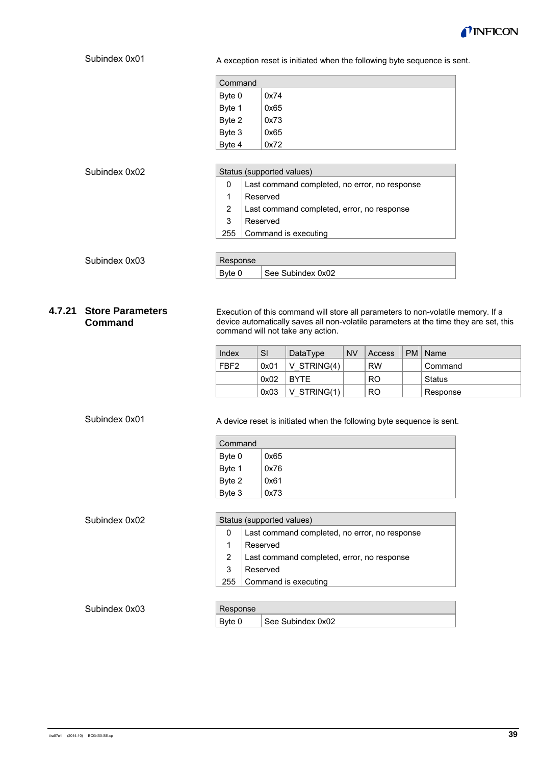

#### A exception reset is initiated when the following byte sequence is sent. Command Byte 0 Byte 1 Byte 2 Byte 3 Byte 4 0x74 0x65 0x73 0x65 0x72 Status (supported values)  $\Omega$ 1 2 3 255 Last command completed, no error, no response Reserved Last command completed, error, no response Reserved Command is executing Response Byte  $0$  See Subindex 0x02 Execution of this command will store all parameters to non-volatile memory. If a device automatically saves all non-volatile parameters at the time they are set, this command will not take any action. Index SI DataType NV Access PM Name FBF2  $\vert$  0x01  $\vert$  V STRING(4) RW  $\vert$  Command  $\vert$  0x02  $\vert$  BYTE  $\vert$  RO  $\vert$  Status  $0x03$  V STRING(1) RO Response A device reset is initiated when the following byte sequence is sent. Command Byte 0 Byte 1 Byte 2 Byte 3 0x65 0x76 0x61 0x73 Status (supported values) 0 1  $\mathfrak{p}$ 3 255 Last command completed, no error, no response Reserved Last command completed, error, no response Reserved Command is executing Response Byte  $0$  | See Subindex 0x02 Subindex 0x01 Subindex 0x02 Subindex 0x03 **4.7.21 Store Parameters Command**  Subindex 0x01 Subindex 0x02 Subindex 0x03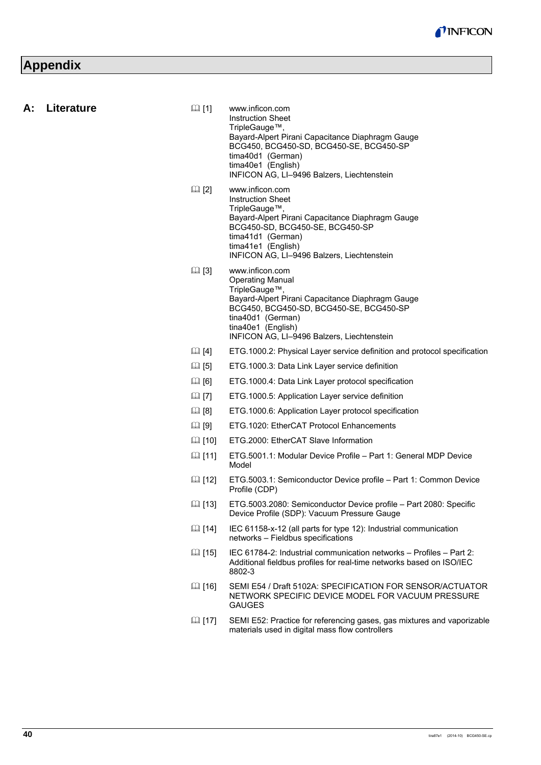# **Appendix**

| A: | Literature | $\boxplus$ [1] | www.inficon.com<br><b>Instruction Sheet</b><br>TripleGauge™,<br>Bayard-Alpert Pirani Capacitance Diaphragm Gauge<br>BCG450, BCG450-SD, BCG450-SE, BCG450-SP<br>tima40d1 (German)<br>tima40e1 (English)<br>INFICON AG, LI-9496 Balzers, Liechtenstein |
|----|------------|----------------|------------------------------------------------------------------------------------------------------------------------------------------------------------------------------------------------------------------------------------------------------|
|    |            | $\boxplus$ [2] | www.inficon.com<br><b>Instruction Sheet</b><br>TripleGauge™,<br>Bayard-Alpert Pirani Capacitance Diaphragm Gauge<br>BCG450-SD, BCG450-SE, BCG450-SP<br>tima41d1 (German)<br>tima41e1 (English)<br>INFICON AG, LI-9496 Balzers, Liechtenstein         |
|    |            | $\Box$ [3]     | www.inficon.com<br><b>Operating Manual</b><br>TripleGauge™,<br>Bayard-Alpert Pirani Capacitance Diaphragm Gauge<br>BCG450, BCG450-SD, BCG450-SE, BCG450-SP<br>tina40d1 (German)<br>tina40e1 (English)<br>INFICON AG, LI-9496 Balzers, Liechtenstein  |
|    |            | $\boxplus$ [4] | ETG.1000.2: Physical Layer service definition and protocol specification                                                                                                                                                                             |
|    |            | $\boxplus$ [5] | ETG.1000.3: Data Link Layer service definition                                                                                                                                                                                                       |
|    |            | $\boxplus$ [6] | ETG. 1000.4: Data Link Layer protocol specification                                                                                                                                                                                                  |
|    |            | $\boxplus$ [7] | ETG.1000.5: Application Layer service definition                                                                                                                                                                                                     |
|    |            | $\Box$ [8]     | ETG. 1000.6: Application Layer protocol specification                                                                                                                                                                                                |
|    |            | $\Box$ [9]     | ETG. 1020: EtherCAT Protocol Enhancements                                                                                                                                                                                                            |
|    |            | $\Box$ [10]    | ETG.2000: EtherCAT Slave Information                                                                                                                                                                                                                 |
|    |            | [11]           | ETG.5001.1: Modular Device Profile – Part 1: General MDP Device<br>Model                                                                                                                                                                             |
|    |            | [12]           | ETG.5003.1: Semiconductor Device profile - Part 1: Common Device<br>Profile (CDP)                                                                                                                                                                    |
|    |            | 国 [13]         | ETG.5003.2080: Semiconductor Device profile - Part 2080: Specific<br>Device Profile (SDP): Vacuum Pressure Gauge                                                                                                                                     |
|    |            | [14]           | IEC 61158-x-12 (all parts for type 12): Industrial communication<br>networks - Fieldbus specifications                                                                                                                                               |
|    |            | 国 [15]         | IEC 61784-2: Industrial communication networks - Profiles - Part 2:<br>Additional fieldbus profiles for real-time networks based on ISO/IEC<br>8802-3                                                                                                |
|    |            | 国 [16]         | SEMI E54 / Draft 5102A: SPECIFICATION FOR SENSOR/ACTUATOR<br>NETWORK SPECIFIC DEVICE MODEL FOR VACUUM PRESSURE<br><b>GAUGES</b>                                                                                                                      |
|    |            | 国 [17]         | SEMI E52: Practice for referencing gases, gas mixtures and vaporizable<br>materials used in digital mass flow controllers                                                                                                                            |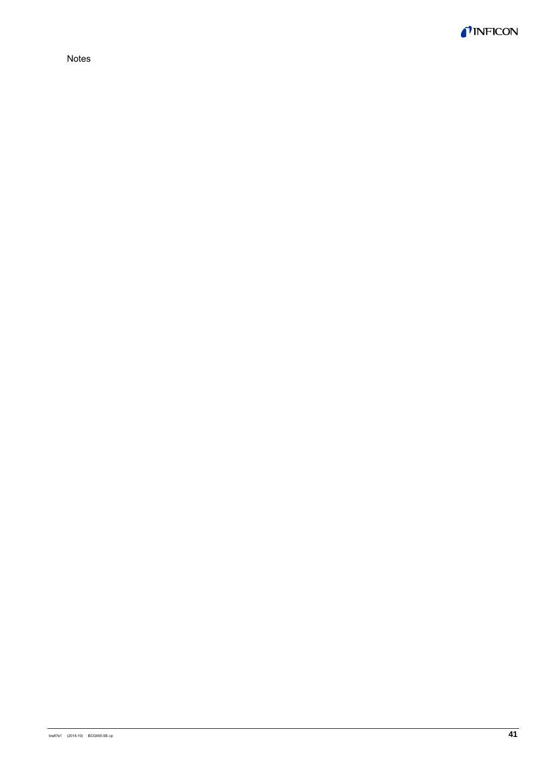

Notes